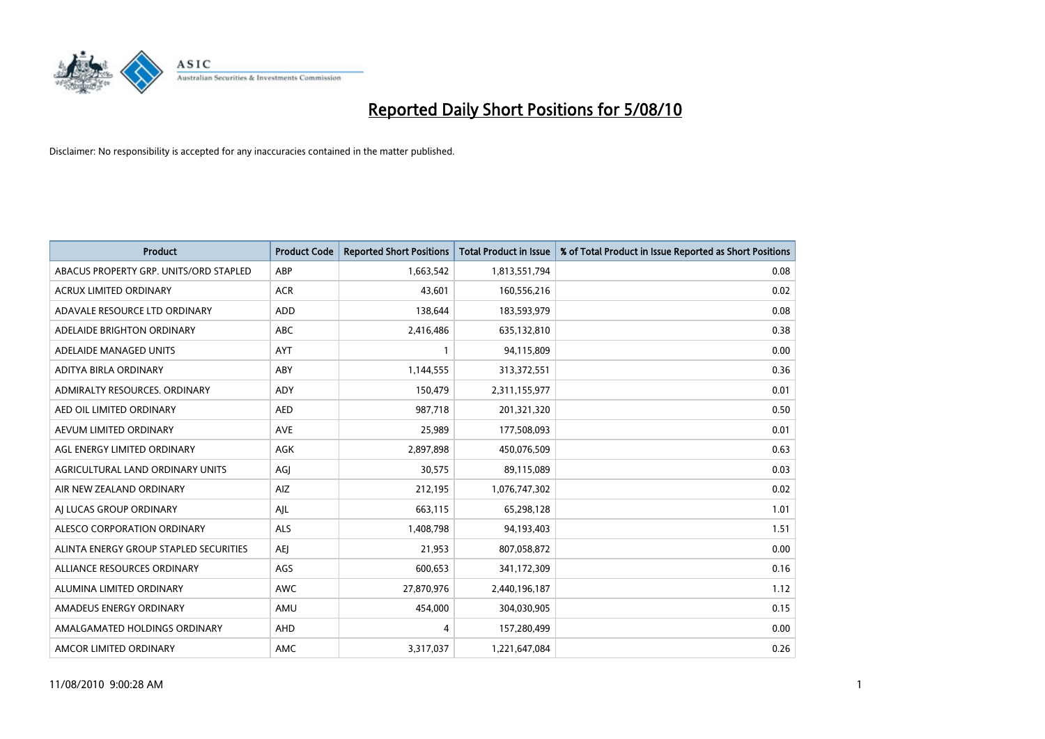

| <b>Product</b>                         | <b>Product Code</b> | <b>Reported Short Positions</b> | Total Product in Issue | % of Total Product in Issue Reported as Short Positions |
|----------------------------------------|---------------------|---------------------------------|------------------------|---------------------------------------------------------|
| ABACUS PROPERTY GRP. UNITS/ORD STAPLED | ABP                 | 1,663,542                       | 1,813,551,794          | 0.08                                                    |
| <b>ACRUX LIMITED ORDINARY</b>          | <b>ACR</b>          | 43.601                          | 160,556,216            | 0.02                                                    |
| ADAVALE RESOURCE LTD ORDINARY          | <b>ADD</b>          | 138,644                         | 183,593,979            | 0.08                                                    |
| ADELAIDE BRIGHTON ORDINARY             | <b>ABC</b>          | 2,416,486                       | 635,132,810            | 0.38                                                    |
| ADELAIDE MANAGED UNITS                 | AYT                 |                                 | 94,115,809             | 0.00                                                    |
| ADITYA BIRLA ORDINARY                  | ABY                 | 1,144,555                       | 313,372,551            | 0.36                                                    |
| ADMIRALTY RESOURCES, ORDINARY          | <b>ADY</b>          | 150,479                         | 2,311,155,977          | 0.01                                                    |
| AED OIL LIMITED ORDINARY               | <b>AED</b>          | 987,718                         | 201,321,320            | 0.50                                                    |
| AEVUM LIMITED ORDINARY                 | <b>AVE</b>          | 25,989                          | 177,508,093            | 0.01                                                    |
| AGL ENERGY LIMITED ORDINARY            | <b>AGK</b>          | 2,897,898                       | 450,076,509            | 0.63                                                    |
| AGRICULTURAL LAND ORDINARY UNITS       | AGJ                 | 30,575                          | 89,115,089             | 0.03                                                    |
| AIR NEW ZEALAND ORDINARY               | AIZ                 | 212,195                         | 1,076,747,302          | 0.02                                                    |
| AI LUCAS GROUP ORDINARY                | AJL                 | 663,115                         | 65,298,128             | 1.01                                                    |
| ALESCO CORPORATION ORDINARY            | <b>ALS</b>          | 1,408,798                       | 94,193,403             | 1.51                                                    |
| ALINTA ENERGY GROUP STAPLED SECURITIES | <b>AEI</b>          | 21,953                          | 807,058,872            | 0.00                                                    |
| ALLIANCE RESOURCES ORDINARY            | AGS                 | 600,653                         | 341,172,309            | 0.16                                                    |
| ALUMINA LIMITED ORDINARY               | <b>AWC</b>          | 27,870,976                      | 2,440,196,187          | 1.12                                                    |
| AMADEUS ENERGY ORDINARY                | AMU                 | 454,000                         | 304,030,905            | 0.15                                                    |
| AMALGAMATED HOLDINGS ORDINARY          | AHD                 | 4                               | 157,280,499            | 0.00                                                    |
| AMCOR LIMITED ORDINARY                 | <b>AMC</b>          | 3,317,037                       | 1,221,647,084          | 0.26                                                    |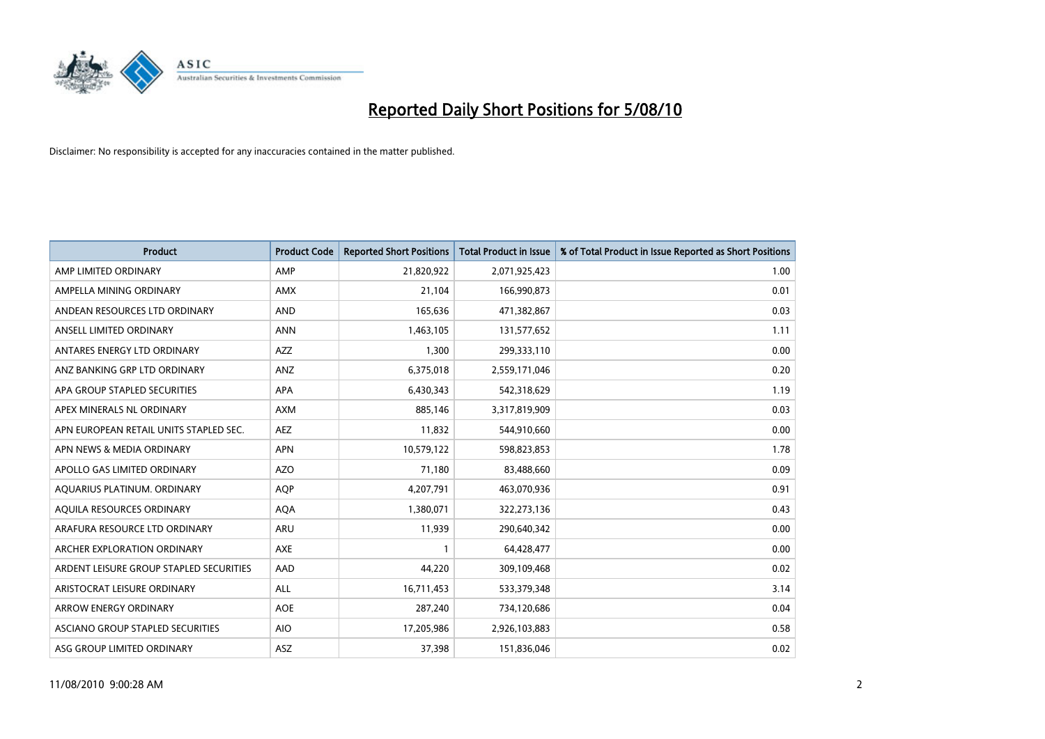

| <b>Product</b>                          | <b>Product Code</b> | <b>Reported Short Positions</b> | Total Product in Issue | % of Total Product in Issue Reported as Short Positions |
|-----------------------------------------|---------------------|---------------------------------|------------------------|---------------------------------------------------------|
| AMP LIMITED ORDINARY                    | AMP                 | 21,820,922                      | 2,071,925,423          | 1.00                                                    |
| AMPELLA MINING ORDINARY                 | <b>AMX</b>          | 21,104                          | 166,990,873            | 0.01                                                    |
| ANDEAN RESOURCES LTD ORDINARY           | <b>AND</b>          | 165,636                         | 471,382,867            | 0.03                                                    |
| ANSELL LIMITED ORDINARY                 | <b>ANN</b>          | 1,463,105                       | 131,577,652            | 1.11                                                    |
| ANTARES ENERGY LTD ORDINARY             | <b>AZZ</b>          | 1,300                           | 299,333,110            | 0.00                                                    |
| ANZ BANKING GRP LTD ORDINARY            | ANZ                 | 6,375,018                       | 2,559,171,046          | 0.20                                                    |
| APA GROUP STAPLED SECURITIES            | <b>APA</b>          | 6,430,343                       | 542,318,629            | 1.19                                                    |
| APEX MINERALS NL ORDINARY               | <b>AXM</b>          | 885,146                         | 3,317,819,909          | 0.03                                                    |
| APN EUROPEAN RETAIL UNITS STAPLED SEC.  | <b>AEZ</b>          | 11,832                          | 544,910,660            | 0.00                                                    |
| APN NEWS & MEDIA ORDINARY               | <b>APN</b>          | 10,579,122                      | 598,823,853            | 1.78                                                    |
| APOLLO GAS LIMITED ORDINARY             | <b>AZO</b>          | 71,180                          | 83,488,660             | 0.09                                                    |
| AQUARIUS PLATINUM. ORDINARY             | <b>AOP</b>          | 4,207,791                       | 463,070,936            | 0.91                                                    |
| AQUILA RESOURCES ORDINARY               | <b>AQA</b>          | 1,380,071                       | 322,273,136            | 0.43                                                    |
| ARAFURA RESOURCE LTD ORDINARY           | <b>ARU</b>          | 11.939                          | 290,640,342            | 0.00                                                    |
| ARCHER EXPLORATION ORDINARY             | <b>AXE</b>          |                                 | 64,428,477             | 0.00                                                    |
| ARDENT LEISURE GROUP STAPLED SECURITIES | AAD                 | 44,220                          | 309,109,468            | 0.02                                                    |
| ARISTOCRAT LEISURE ORDINARY             | <b>ALL</b>          | 16,711,453                      | 533,379,348            | 3.14                                                    |
| ARROW ENERGY ORDINARY                   | <b>AOE</b>          | 287,240                         | 734,120,686            | 0.04                                                    |
| ASCIANO GROUP STAPLED SECURITIES        | <b>AIO</b>          | 17,205,986                      | 2,926,103,883          | 0.58                                                    |
| ASG GROUP LIMITED ORDINARY              | <b>ASZ</b>          | 37,398                          | 151,836,046            | 0.02                                                    |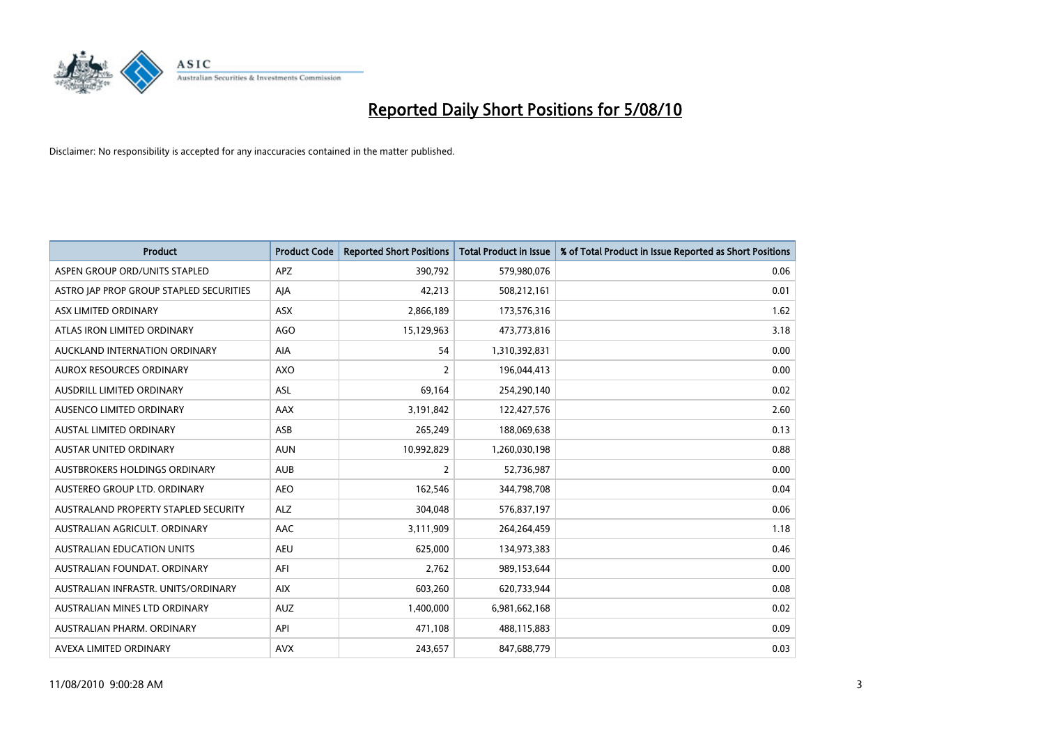

| <b>Product</b>                          | <b>Product Code</b> | <b>Reported Short Positions</b> | Total Product in Issue | % of Total Product in Issue Reported as Short Positions |
|-----------------------------------------|---------------------|---------------------------------|------------------------|---------------------------------------------------------|
| ASPEN GROUP ORD/UNITS STAPLED           | <b>APZ</b>          | 390,792                         | 579,980,076            | 0.06                                                    |
| ASTRO JAP PROP GROUP STAPLED SECURITIES | AJA                 | 42,213                          | 508,212,161            | 0.01                                                    |
| ASX LIMITED ORDINARY                    | <b>ASX</b>          | 2,866,189                       | 173,576,316            | 1.62                                                    |
| ATLAS IRON LIMITED ORDINARY             | <b>AGO</b>          | 15,129,963                      | 473,773,816            | 3.18                                                    |
| AUCKLAND INTERNATION ORDINARY           | AIA                 | 54                              | 1,310,392,831          | 0.00                                                    |
| <b>AUROX RESOURCES ORDINARY</b>         | <b>AXO</b>          | 2                               | 196,044,413            | 0.00                                                    |
| AUSDRILL LIMITED ORDINARY               | <b>ASL</b>          | 69,164                          | 254,290,140            | 0.02                                                    |
| AUSENCO LIMITED ORDINARY                | <b>AAX</b>          | 3,191,842                       | 122,427,576            | 2.60                                                    |
| AUSTAL LIMITED ORDINARY                 | ASB                 | 265,249                         | 188,069,638            | 0.13                                                    |
| <b>AUSTAR UNITED ORDINARY</b>           | <b>AUN</b>          | 10,992,829                      | 1,260,030,198          | 0.88                                                    |
| AUSTBROKERS HOLDINGS ORDINARY           | <b>AUB</b>          | 2                               | 52,736,987             | 0.00                                                    |
| AUSTEREO GROUP LTD. ORDINARY            | <b>AEO</b>          | 162,546                         | 344,798,708            | 0.04                                                    |
| AUSTRALAND PROPERTY STAPLED SECURITY    | <b>ALZ</b>          | 304,048                         | 576,837,197            | 0.06                                                    |
| AUSTRALIAN AGRICULT, ORDINARY           | AAC                 | 3,111,909                       | 264,264,459            | 1.18                                                    |
| <b>AUSTRALIAN EDUCATION UNITS</b>       | <b>AEU</b>          | 625,000                         | 134,973,383            | 0.46                                                    |
| AUSTRALIAN FOUNDAT. ORDINARY            | AFI                 | 2,762                           | 989,153,644            | 0.00                                                    |
| AUSTRALIAN INFRASTR, UNITS/ORDINARY     | <b>AIX</b>          | 603,260                         | 620,733,944            | 0.08                                                    |
| AUSTRALIAN MINES LTD ORDINARY           | <b>AUZ</b>          | 1,400,000                       | 6,981,662,168          | 0.02                                                    |
| AUSTRALIAN PHARM, ORDINARY              | API                 | 471,108                         | 488,115,883            | 0.09                                                    |
| AVEXA LIMITED ORDINARY                  | <b>AVX</b>          | 243.657                         | 847,688,779            | 0.03                                                    |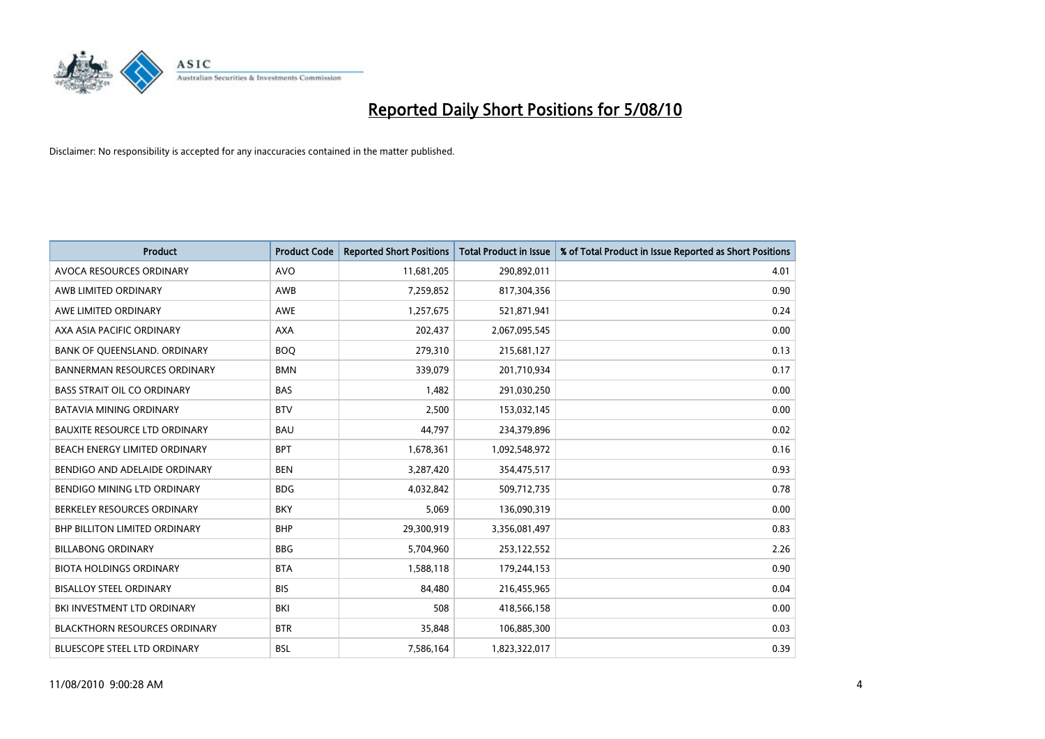

| <b>Product</b>                       | <b>Product Code</b> | <b>Reported Short Positions</b> | <b>Total Product in Issue</b> | % of Total Product in Issue Reported as Short Positions |
|--------------------------------------|---------------------|---------------------------------|-------------------------------|---------------------------------------------------------|
| AVOCA RESOURCES ORDINARY             | <b>AVO</b>          | 11,681,205                      | 290,892,011                   | 4.01                                                    |
| AWB LIMITED ORDINARY                 | AWB                 | 7,259,852                       | 817,304,356                   | 0.90                                                    |
| AWE LIMITED ORDINARY                 | AWE                 | 1,257,675                       | 521,871,941                   | 0.24                                                    |
| AXA ASIA PACIFIC ORDINARY            | <b>AXA</b>          | 202,437                         | 2,067,095,545                 | 0.00                                                    |
| BANK OF QUEENSLAND. ORDINARY         | <b>BOQ</b>          | 279,310                         | 215,681,127                   | 0.13                                                    |
| <b>BANNERMAN RESOURCES ORDINARY</b>  | <b>BMN</b>          | 339,079                         | 201,710,934                   | 0.17                                                    |
| <b>BASS STRAIT OIL CO ORDINARY</b>   | <b>BAS</b>          | 1,482                           | 291,030,250                   | 0.00                                                    |
| <b>BATAVIA MINING ORDINARY</b>       | <b>BTV</b>          | 2,500                           | 153,032,145                   | 0.00                                                    |
| BAUXITE RESOURCE LTD ORDINARY        | <b>BAU</b>          | 44,797                          | 234,379,896                   | 0.02                                                    |
| BEACH ENERGY LIMITED ORDINARY        | <b>BPT</b>          | 1,678,361                       | 1,092,548,972                 | 0.16                                                    |
| BENDIGO AND ADELAIDE ORDINARY        | <b>BEN</b>          | 3,287,420                       | 354,475,517                   | 0.93                                                    |
| BENDIGO MINING LTD ORDINARY          | <b>BDG</b>          | 4,032,842                       | 509,712,735                   | 0.78                                                    |
| BERKELEY RESOURCES ORDINARY          | <b>BKY</b>          | 5,069                           | 136,090,319                   | 0.00                                                    |
| <b>BHP BILLITON LIMITED ORDINARY</b> | <b>BHP</b>          | 29,300,919                      | 3,356,081,497                 | 0.83                                                    |
| <b>BILLABONG ORDINARY</b>            | <b>BBG</b>          | 5,704,960                       | 253,122,552                   | 2.26                                                    |
| <b>BIOTA HOLDINGS ORDINARY</b>       | <b>BTA</b>          | 1,588,118                       | 179,244,153                   | 0.90                                                    |
| <b>BISALLOY STEEL ORDINARY</b>       | <b>BIS</b>          | 84,480                          | 216,455,965                   | 0.04                                                    |
| <b>BKI INVESTMENT LTD ORDINARY</b>   | BKI                 | 508                             | 418,566,158                   | 0.00                                                    |
| <b>BLACKTHORN RESOURCES ORDINARY</b> | <b>BTR</b>          | 35,848                          | 106,885,300                   | 0.03                                                    |
| <b>BLUESCOPE STEEL LTD ORDINARY</b>  | <b>BSL</b>          | 7,586,164                       | 1,823,322,017                 | 0.39                                                    |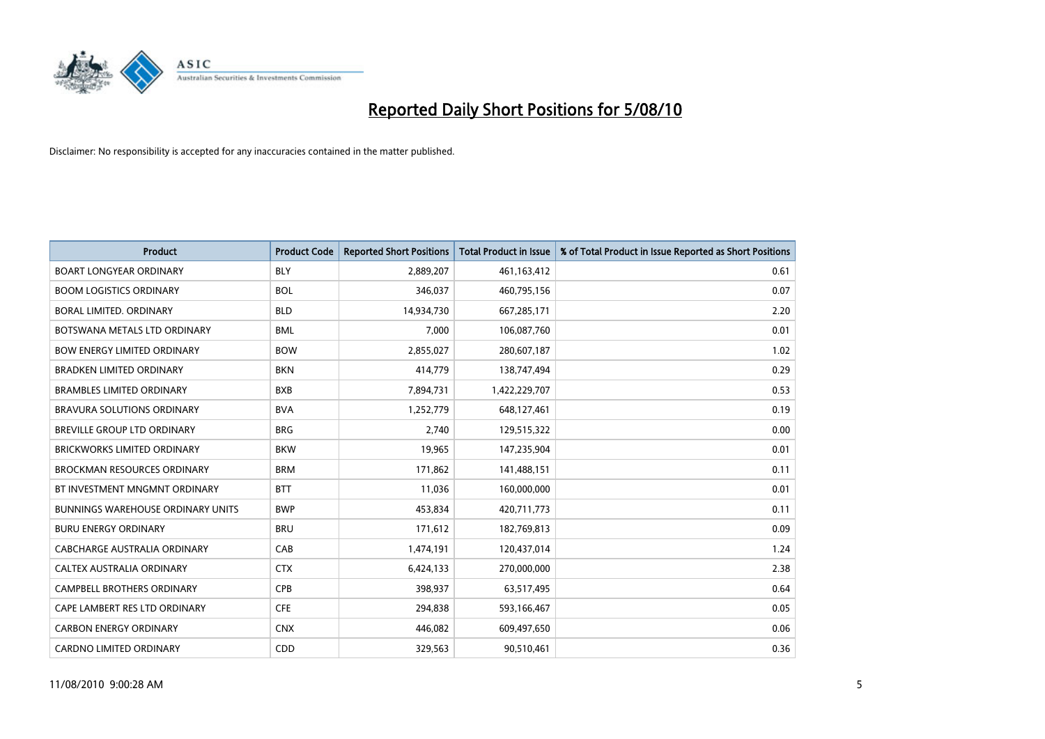

| <b>Product</b>                           | <b>Product Code</b> | <b>Reported Short Positions</b> | <b>Total Product in Issue</b> | % of Total Product in Issue Reported as Short Positions |
|------------------------------------------|---------------------|---------------------------------|-------------------------------|---------------------------------------------------------|
| <b>BOART LONGYEAR ORDINARY</b>           | <b>BLY</b>          | 2,889,207                       | 461,163,412                   | 0.61                                                    |
| <b>BOOM LOGISTICS ORDINARY</b>           | <b>BOL</b>          | 346,037                         | 460,795,156                   | 0.07                                                    |
| BORAL LIMITED, ORDINARY                  | <b>BLD</b>          | 14,934,730                      | 667,285,171                   | 2.20                                                    |
| BOTSWANA METALS LTD ORDINARY             | <b>BML</b>          | 7,000                           | 106,087,760                   | 0.01                                                    |
| <b>BOW ENERGY LIMITED ORDINARY</b>       | <b>BOW</b>          | 2,855,027                       | 280,607,187                   | 1.02                                                    |
| <b>BRADKEN LIMITED ORDINARY</b>          | <b>BKN</b>          | 414,779                         | 138,747,494                   | 0.29                                                    |
| <b>BRAMBLES LIMITED ORDINARY</b>         | <b>BXB</b>          | 7,894,731                       | 1,422,229,707                 | 0.53                                                    |
| BRAVURA SOLUTIONS ORDINARY               | <b>BVA</b>          | 1,252,779                       | 648,127,461                   | 0.19                                                    |
| <b>BREVILLE GROUP LTD ORDINARY</b>       | <b>BRG</b>          | 2.740                           | 129,515,322                   | 0.00                                                    |
| <b>BRICKWORKS LIMITED ORDINARY</b>       | <b>BKW</b>          | 19,965                          | 147,235,904                   | 0.01                                                    |
| <b>BROCKMAN RESOURCES ORDINARY</b>       | <b>BRM</b>          | 171,862                         | 141,488,151                   | 0.11                                                    |
| BT INVESTMENT MNGMNT ORDINARY            | <b>BTT</b>          | 11,036                          | 160,000,000                   | 0.01                                                    |
| <b>BUNNINGS WAREHOUSE ORDINARY UNITS</b> | <b>BWP</b>          | 453,834                         | 420,711,773                   | 0.11                                                    |
| <b>BURU ENERGY ORDINARY</b>              | <b>BRU</b>          | 171,612                         | 182,769,813                   | 0.09                                                    |
| <b>CABCHARGE AUSTRALIA ORDINARY</b>      | CAB                 | 1,474,191                       | 120,437,014                   | 1.24                                                    |
| CALTEX AUSTRALIA ORDINARY                | <b>CTX</b>          | 6,424,133                       | 270,000,000                   | 2.38                                                    |
| CAMPBELL BROTHERS ORDINARY               | CPB                 | 398,937                         | 63,517,495                    | 0.64                                                    |
| CAPE LAMBERT RES LTD ORDINARY            | <b>CFE</b>          | 294,838                         | 593,166,467                   | 0.05                                                    |
| <b>CARBON ENERGY ORDINARY</b>            | <b>CNX</b>          | 446,082                         | 609,497,650                   | 0.06                                                    |
| CARDNO LIMITED ORDINARY                  | CDD                 | 329,563                         | 90,510,461                    | 0.36                                                    |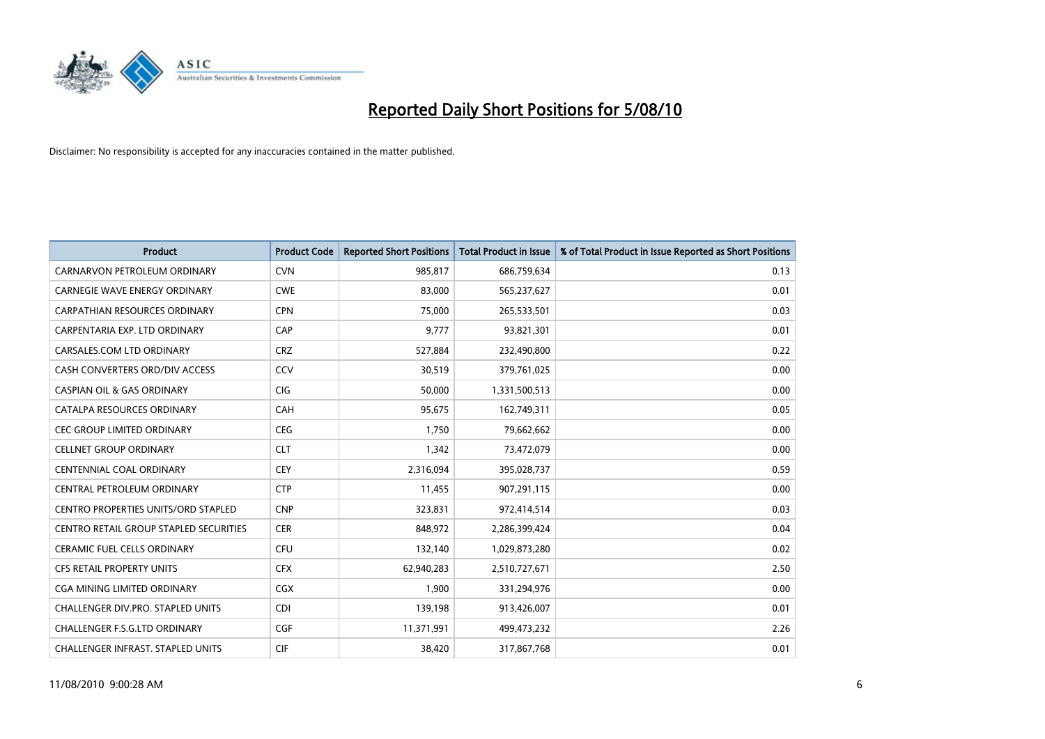

| <b>Product</b>                             | <b>Product Code</b> | <b>Reported Short Positions</b> | <b>Total Product in Issue</b> | % of Total Product in Issue Reported as Short Positions |
|--------------------------------------------|---------------------|---------------------------------|-------------------------------|---------------------------------------------------------|
| CARNARVON PETROLEUM ORDINARY               | <b>CVN</b>          | 985,817                         | 686,759,634                   | 0.13                                                    |
| CARNEGIE WAVE ENERGY ORDINARY              | <b>CWE</b>          | 83,000                          | 565,237,627                   | 0.01                                                    |
| <b>CARPATHIAN RESOURCES ORDINARY</b>       | <b>CPN</b>          | 75,000                          | 265,533,501                   | 0.03                                                    |
| CARPENTARIA EXP. LTD ORDINARY              | CAP                 | 9,777                           | 93,821,301                    | 0.01                                                    |
| CARSALES.COM LTD ORDINARY                  | <b>CRZ</b>          | 527,884                         | 232,490,800                   | 0.22                                                    |
| CASH CONVERTERS ORD/DIV ACCESS             | CCV                 | 30,519                          | 379,761,025                   | 0.00                                                    |
| <b>CASPIAN OIL &amp; GAS ORDINARY</b>      | <b>CIG</b>          | 50.000                          | 1,331,500,513                 | 0.00                                                    |
| CATALPA RESOURCES ORDINARY                 | <b>CAH</b>          | 95,675                          | 162,749,311                   | 0.05                                                    |
| CEC GROUP LIMITED ORDINARY                 | <b>CEG</b>          | 1,750                           | 79,662,662                    | 0.00                                                    |
| <b>CELLNET GROUP ORDINARY</b>              | <b>CLT</b>          | 1,342                           | 73,472,079                    | 0.00                                                    |
| CENTENNIAL COAL ORDINARY                   | <b>CEY</b>          | 2,316,094                       | 395,028,737                   | 0.59                                                    |
| CENTRAL PETROLEUM ORDINARY                 | <b>CTP</b>          | 11,455                          | 907,291,115                   | 0.00                                                    |
| <b>CENTRO PROPERTIES UNITS/ORD STAPLED</b> | <b>CNP</b>          | 323,831                         | 972,414,514                   | 0.03                                                    |
| CENTRO RETAIL GROUP STAPLED SECURITIES     | <b>CER</b>          | 848,972                         | 2,286,399,424                 | 0.04                                                    |
| <b>CERAMIC FUEL CELLS ORDINARY</b>         | <b>CFU</b>          | 132,140                         | 1,029,873,280                 | 0.02                                                    |
| CFS RETAIL PROPERTY UNITS                  | <b>CFX</b>          | 62,940,283                      | 2,510,727,671                 | 2.50                                                    |
| <b>CGA MINING LIMITED ORDINARY</b>         | <b>CGX</b>          | 1.900                           | 331,294,976                   | 0.00                                                    |
| CHALLENGER DIV.PRO. STAPLED UNITS          | <b>CDI</b>          | 139,198                         | 913,426,007                   | 0.01                                                    |
| <b>CHALLENGER F.S.G.LTD ORDINARY</b>       | <b>CGF</b>          | 11,371,991                      | 499,473,232                   | 2.26                                                    |
| <b>CHALLENGER INFRAST, STAPLED UNITS</b>   | <b>CIF</b>          | 38.420                          | 317,867,768                   | 0.01                                                    |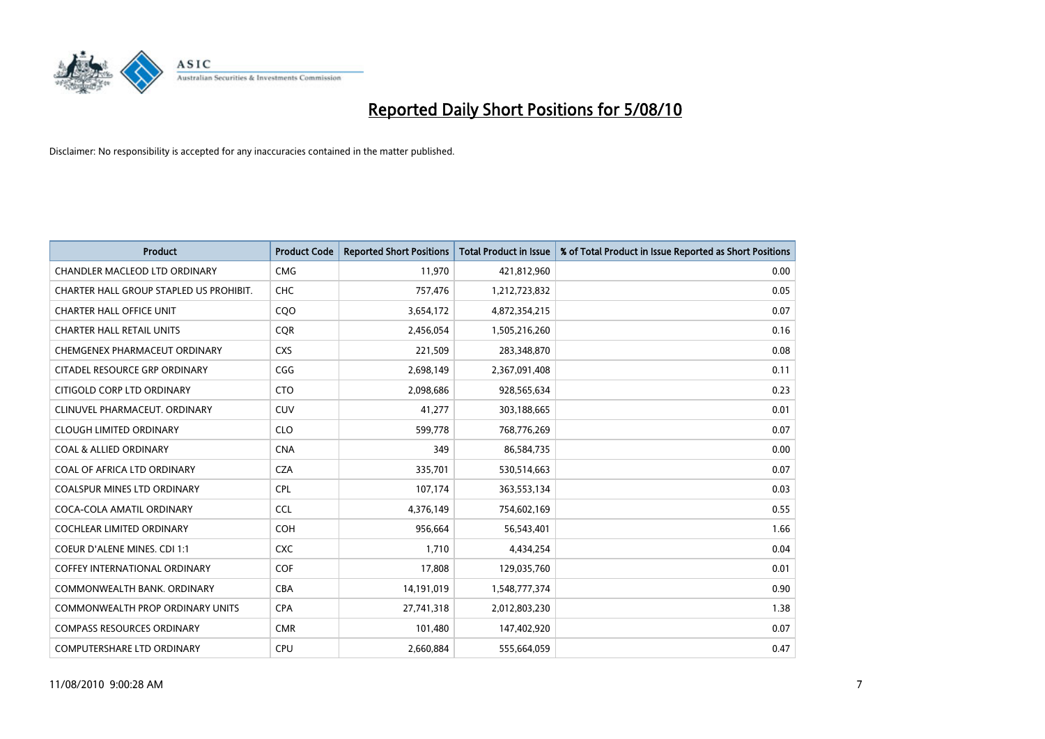

| <b>Product</b>                          | <b>Product Code</b> | <b>Reported Short Positions</b> | Total Product in Issue | % of Total Product in Issue Reported as Short Positions |
|-----------------------------------------|---------------------|---------------------------------|------------------------|---------------------------------------------------------|
| <b>CHANDLER MACLEOD LTD ORDINARY</b>    | <b>CMG</b>          | 11,970                          | 421,812,960            | 0.00                                                    |
| CHARTER HALL GROUP STAPLED US PROHIBIT. | <b>CHC</b>          | 757,476                         | 1,212,723,832          | 0.05                                                    |
| <b>CHARTER HALL OFFICE UNIT</b>         | CQO                 | 3,654,172                       | 4,872,354,215          | 0.07                                                    |
| <b>CHARTER HALL RETAIL UNITS</b>        | <b>COR</b>          | 2,456,054                       | 1,505,216,260          | 0.16                                                    |
| CHEMGENEX PHARMACEUT ORDINARY           | <b>CXS</b>          | 221,509                         | 283,348,870            | 0.08                                                    |
| CITADEL RESOURCE GRP ORDINARY           | CGG                 | 2,698,149                       | 2,367,091,408          | 0.11                                                    |
| CITIGOLD CORP LTD ORDINARY              | <b>CTO</b>          | 2,098,686                       | 928,565,634            | 0.23                                                    |
| CLINUVEL PHARMACEUT. ORDINARY           | <b>CUV</b>          | 41,277                          | 303,188,665            | 0.01                                                    |
| <b>CLOUGH LIMITED ORDINARY</b>          | <b>CLO</b>          | 599,778                         | 768,776,269            | 0.07                                                    |
| <b>COAL &amp; ALLIED ORDINARY</b>       | <b>CNA</b>          | 349                             | 86,584,735             | 0.00                                                    |
| COAL OF AFRICA LTD ORDINARY             | <b>CZA</b>          | 335,701                         | 530,514,663            | 0.07                                                    |
| <b>COALSPUR MINES LTD ORDINARY</b>      | <b>CPL</b>          | 107,174                         | 363,553,134            | 0.03                                                    |
| COCA-COLA AMATIL ORDINARY               | <b>CCL</b>          | 4,376,149                       | 754,602,169            | 0.55                                                    |
| <b>COCHLEAR LIMITED ORDINARY</b>        | <b>COH</b>          | 956.664                         | 56,543,401             | 1.66                                                    |
| COEUR D'ALENE MINES. CDI 1:1            | <b>CXC</b>          | 1,710                           | 4,434,254              | 0.04                                                    |
| <b>COFFEY INTERNATIONAL ORDINARY</b>    | <b>COF</b>          | 17,808                          | 129,035,760            | 0.01                                                    |
| COMMONWEALTH BANK, ORDINARY             | <b>CBA</b>          | 14,191,019                      | 1,548,777,374          | 0.90                                                    |
| <b>COMMONWEALTH PROP ORDINARY UNITS</b> | <b>CPA</b>          | 27,741,318                      | 2,012,803,230          | 1.38                                                    |
| <b>COMPASS RESOURCES ORDINARY</b>       | <b>CMR</b>          | 101,480                         | 147,402,920            | 0.07                                                    |
| <b>COMPUTERSHARE LTD ORDINARY</b>       | <b>CPU</b>          | 2,660,884                       | 555,664,059            | 0.47                                                    |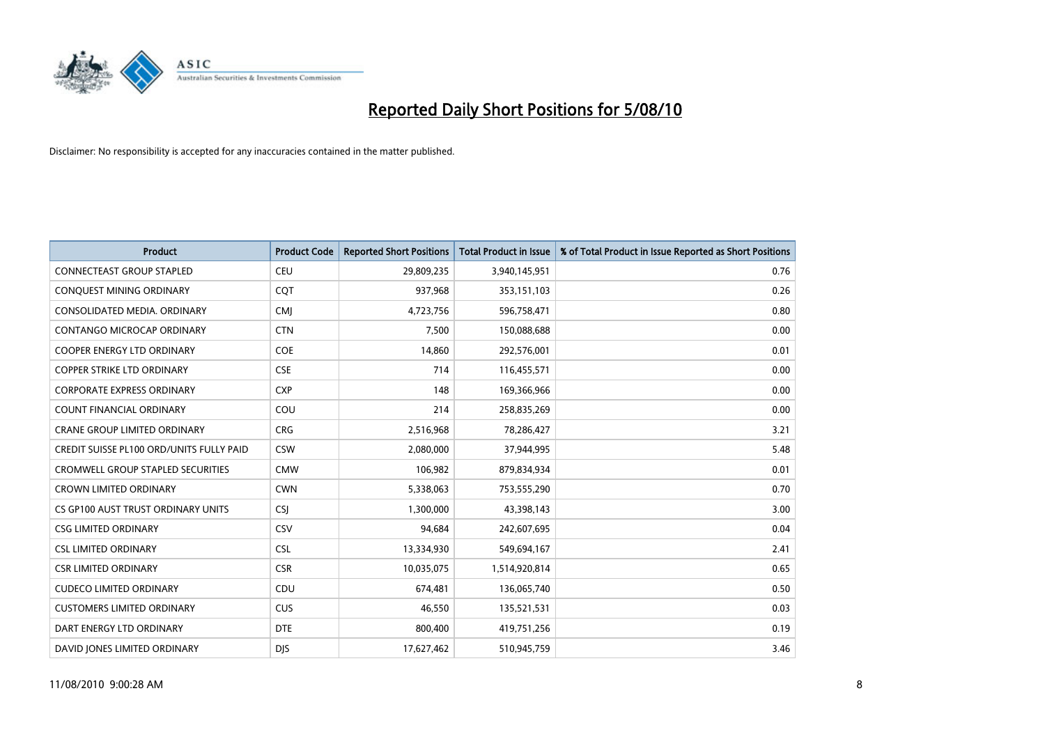

| <b>Product</b>                                  | <b>Product Code</b> | <b>Reported Short Positions</b> | Total Product in Issue | % of Total Product in Issue Reported as Short Positions |
|-------------------------------------------------|---------------------|---------------------------------|------------------------|---------------------------------------------------------|
| <b>CONNECTEAST GROUP STAPLED</b>                | <b>CEU</b>          | 29,809,235                      | 3,940,145,951          | 0.76                                                    |
| CONQUEST MINING ORDINARY                        | <b>COT</b>          | 937,968                         | 353,151,103            | 0.26                                                    |
| CONSOLIDATED MEDIA, ORDINARY                    | <b>CMJ</b>          | 4,723,756                       | 596,758,471            | 0.80                                                    |
| CONTANGO MICROCAP ORDINARY                      | <b>CTN</b>          | 7,500                           | 150,088,688            | 0.00                                                    |
| <b>COOPER ENERGY LTD ORDINARY</b>               | COE                 | 14,860                          | 292,576,001            | 0.01                                                    |
| <b>COPPER STRIKE LTD ORDINARY</b>               | <b>CSE</b>          | 714                             | 116,455,571            | 0.00                                                    |
| <b>CORPORATE EXPRESS ORDINARY</b>               | <b>CXP</b>          | 148                             | 169,366,966            | 0.00                                                    |
| <b>COUNT FINANCIAL ORDINARY</b>                 | COU                 | 214                             | 258,835,269            | 0.00                                                    |
| CRANE GROUP LIMITED ORDINARY                    | <b>CRG</b>          | 2,516,968                       | 78,286,427             | 3.21                                                    |
| <b>CREDIT SUISSE PL100 ORD/UNITS FULLY PAID</b> | <b>CSW</b>          | 2,080,000                       | 37,944,995             | 5.48                                                    |
| <b>CROMWELL GROUP STAPLED SECURITIES</b>        | <b>CMW</b>          | 106,982                         | 879,834,934            | 0.01                                                    |
| <b>CROWN LIMITED ORDINARY</b>                   | <b>CWN</b>          | 5,338,063                       | 753,555,290            | 0.70                                                    |
| CS GP100 AUST TRUST ORDINARY UNITS              | <b>CSI</b>          | 1.300.000                       | 43,398,143             | 3.00                                                    |
| <b>CSG LIMITED ORDINARY</b>                     | CSV                 | 94,684                          | 242,607,695            | 0.04                                                    |
| <b>CSL LIMITED ORDINARY</b>                     | <b>CSL</b>          | 13,334,930                      | 549,694,167            | 2.41                                                    |
| <b>CSR LIMITED ORDINARY</b>                     | <b>CSR</b>          | 10,035,075                      | 1,514,920,814          | 0.65                                                    |
| <b>CUDECO LIMITED ORDINARY</b>                  | CDU                 | 674,481                         | 136,065,740            | 0.50                                                    |
| <b>CUSTOMERS LIMITED ORDINARY</b>               | <b>CUS</b>          | 46,550                          | 135,521,531            | 0.03                                                    |
| DART ENERGY LTD ORDINARY                        | <b>DTE</b>          | 800,400                         | 419,751,256            | 0.19                                                    |
| DAVID JONES LIMITED ORDINARY                    | <b>DIS</b>          | 17,627,462                      | 510,945,759            | 3.46                                                    |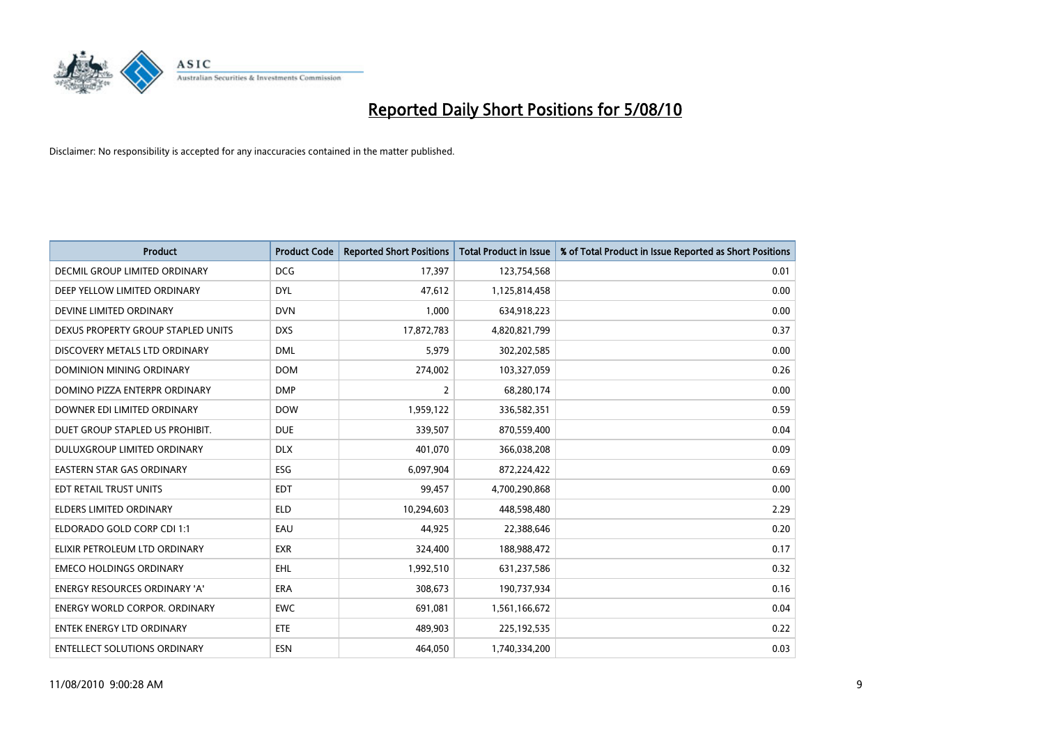

| <b>Product</b>                       | <b>Product Code</b> | <b>Reported Short Positions</b> | Total Product in Issue | % of Total Product in Issue Reported as Short Positions |
|--------------------------------------|---------------------|---------------------------------|------------------------|---------------------------------------------------------|
| DECMIL GROUP LIMITED ORDINARY        | <b>DCG</b>          | 17,397                          | 123,754,568            | 0.01                                                    |
| DEEP YELLOW LIMITED ORDINARY         | <b>DYL</b>          | 47,612                          | 1,125,814,458          | 0.00                                                    |
| DEVINE LIMITED ORDINARY              | <b>DVN</b>          | 1,000                           | 634,918,223            | 0.00                                                    |
| DEXUS PROPERTY GROUP STAPLED UNITS   | <b>DXS</b>          | 17,872,783                      | 4,820,821,799          | 0.37                                                    |
| DISCOVERY METALS LTD ORDINARY        | <b>DML</b>          | 5,979                           | 302,202,585            | 0.00                                                    |
| <b>DOMINION MINING ORDINARY</b>      | <b>DOM</b>          | 274,002                         | 103,327,059            | 0.26                                                    |
| DOMINO PIZZA ENTERPR ORDINARY        | <b>DMP</b>          | 2                               | 68,280,174             | 0.00                                                    |
| DOWNER EDI LIMITED ORDINARY          | <b>DOW</b>          | 1,959,122                       | 336,582,351            | 0.59                                                    |
| DUET GROUP STAPLED US PROHIBIT.      | <b>DUE</b>          | 339,507                         | 870,559,400            | 0.04                                                    |
| DULUXGROUP LIMITED ORDINARY          | <b>DLX</b>          | 401,070                         | 366,038,208            | 0.09                                                    |
| EASTERN STAR GAS ORDINARY            | <b>ESG</b>          | 6,097,904                       | 872,224,422            | 0.69                                                    |
| EDT RETAIL TRUST UNITS               | <b>EDT</b>          | 99,457                          | 4,700,290,868          | 0.00                                                    |
| <b>ELDERS LIMITED ORDINARY</b>       | <b>ELD</b>          | 10,294,603                      | 448,598,480            | 2.29                                                    |
| ELDORADO GOLD CORP CDI 1:1           | EAU                 | 44,925                          | 22,388,646             | 0.20                                                    |
| ELIXIR PETROLEUM LTD ORDINARY        | <b>EXR</b>          | 324,400                         | 188,988,472            | 0.17                                                    |
| <b>EMECO HOLDINGS ORDINARY</b>       | <b>EHL</b>          | 1,992,510                       | 631,237,586            | 0.32                                                    |
| <b>ENERGY RESOURCES ORDINARY 'A'</b> | <b>ERA</b>          | 308,673                         | 190,737,934            | 0.16                                                    |
| ENERGY WORLD CORPOR. ORDINARY        | <b>EWC</b>          | 691,081                         | 1,561,166,672          | 0.04                                                    |
| <b>ENTEK ENERGY LTD ORDINARY</b>     | ETE                 | 489,903                         | 225,192,535            | 0.22                                                    |
| <b>ENTELLECT SOLUTIONS ORDINARY</b>  | <b>ESN</b>          | 464.050                         | 1,740,334,200          | 0.03                                                    |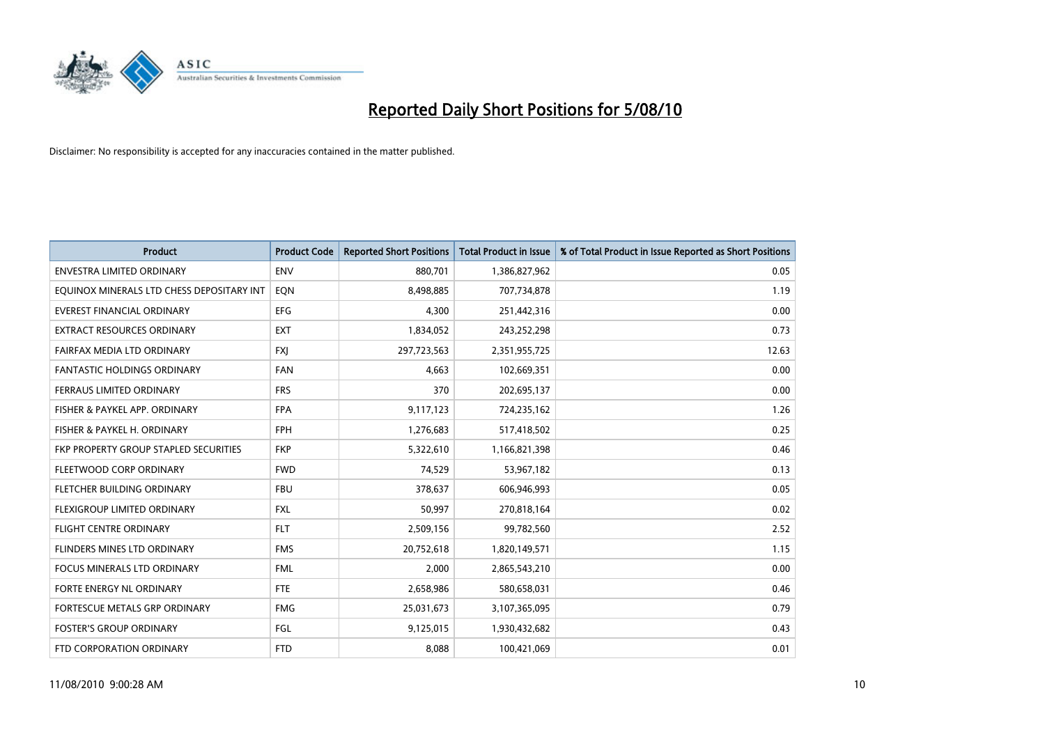

| <b>Product</b>                            | <b>Product Code</b> | <b>Reported Short Positions</b> | Total Product in Issue | % of Total Product in Issue Reported as Short Positions |
|-------------------------------------------|---------------------|---------------------------------|------------------------|---------------------------------------------------------|
| <b>ENVESTRA LIMITED ORDINARY</b>          | <b>ENV</b>          | 880,701                         | 1,386,827,962          | 0.05                                                    |
| EQUINOX MINERALS LTD CHESS DEPOSITARY INT | EON                 | 8,498,885                       | 707,734,878            | 1.19                                                    |
| EVEREST FINANCIAL ORDINARY                | <b>EFG</b>          | 4,300                           | 251,442,316            | 0.00                                                    |
| EXTRACT RESOURCES ORDINARY                | <b>EXT</b>          | 1,834,052                       | 243,252,298            | 0.73                                                    |
| FAIRFAX MEDIA LTD ORDINARY                | <b>FXI</b>          | 297,723,563                     | 2,351,955,725          | 12.63                                                   |
| <b>FANTASTIC HOLDINGS ORDINARY</b>        | <b>FAN</b>          | 4,663                           | 102,669,351            | 0.00                                                    |
| FERRAUS LIMITED ORDINARY                  | <b>FRS</b>          | 370                             | 202,695,137            | 0.00                                                    |
| FISHER & PAYKEL APP. ORDINARY             | <b>FPA</b>          | 9,117,123                       | 724,235,162            | 1.26                                                    |
| FISHER & PAYKEL H. ORDINARY               | <b>FPH</b>          | 1,276,683                       | 517,418,502            | 0.25                                                    |
| FKP PROPERTY GROUP STAPLED SECURITIES     | <b>FKP</b>          | 5,322,610                       | 1,166,821,398          | 0.46                                                    |
| FLEETWOOD CORP ORDINARY                   | <b>FWD</b>          | 74,529                          | 53,967,182             | 0.13                                                    |
| FLETCHER BUILDING ORDINARY                | <b>FBU</b>          | 378,637                         | 606,946,993            | 0.05                                                    |
| FLEXIGROUP LIMITED ORDINARY               | <b>FXL</b>          | 50.997                          | 270,818,164            | 0.02                                                    |
| <b>FLIGHT CENTRE ORDINARY</b>             | <b>FLT</b>          | 2,509,156                       | 99,782,560             | 2.52                                                    |
| FLINDERS MINES LTD ORDINARY               | <b>FMS</b>          | 20,752,618                      | 1,820,149,571          | 1.15                                                    |
| <b>FOCUS MINERALS LTD ORDINARY</b>        | <b>FML</b>          | 2,000                           | 2,865,543,210          | 0.00                                                    |
| <b>FORTE ENERGY NL ORDINARY</b>           | <b>FTE</b>          | 2,658,986                       | 580,658,031            | 0.46                                                    |
| FORTESCUE METALS GRP ORDINARY             | <b>FMG</b>          | 25,031,673                      | 3,107,365,095          | 0.79                                                    |
| <b>FOSTER'S GROUP ORDINARY</b>            | FGL                 | 9,125,015                       | 1,930,432,682          | 0.43                                                    |
| FTD CORPORATION ORDINARY                  | <b>FTD</b>          | 8.088                           | 100,421,069            | 0.01                                                    |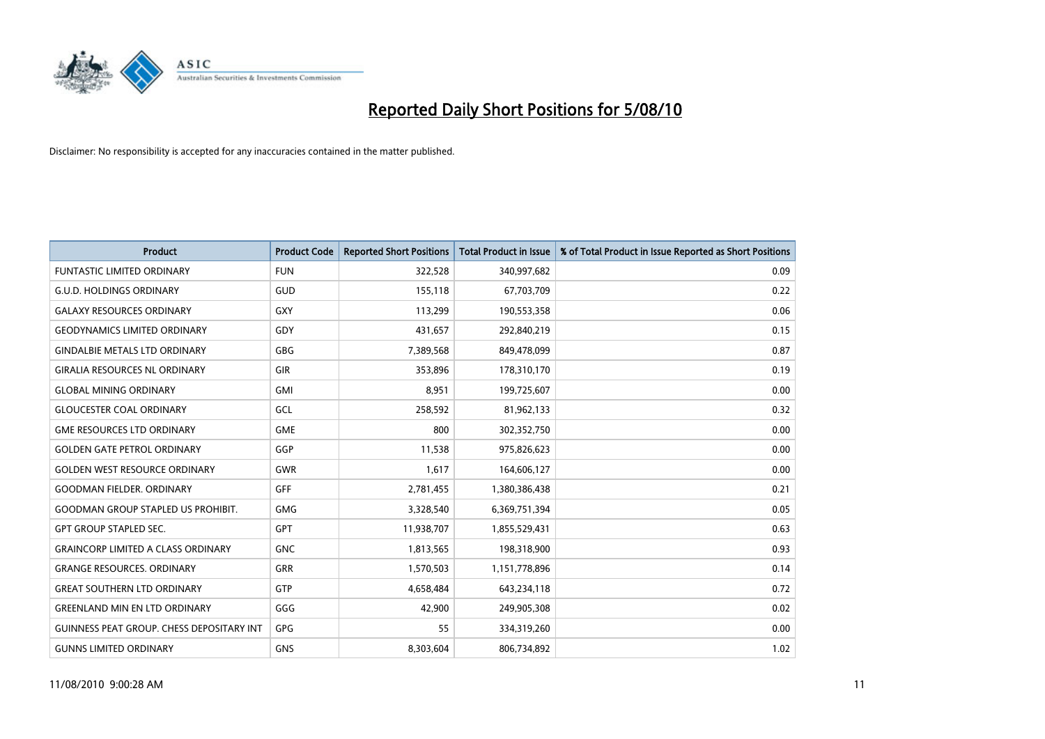

| <b>Product</b>                                   | <b>Product Code</b> | <b>Reported Short Positions</b> | <b>Total Product in Issue</b> | % of Total Product in Issue Reported as Short Positions |
|--------------------------------------------------|---------------------|---------------------------------|-------------------------------|---------------------------------------------------------|
| <b>FUNTASTIC LIMITED ORDINARY</b>                | <b>FUN</b>          | 322,528                         | 340,997,682                   | 0.09                                                    |
| <b>G.U.D. HOLDINGS ORDINARY</b>                  | GUD                 | 155,118                         | 67,703,709                    | 0.22                                                    |
| <b>GALAXY RESOURCES ORDINARY</b>                 | <b>GXY</b>          | 113,299                         | 190,553,358                   | 0.06                                                    |
| <b>GEODYNAMICS LIMITED ORDINARY</b>              | GDY                 | 431,657                         | 292,840,219                   | 0.15                                                    |
| <b>GINDALBIE METALS LTD ORDINARY</b>             | <b>GBG</b>          | 7,389,568                       | 849,478,099                   | 0.87                                                    |
| <b>GIRALIA RESOURCES NL ORDINARY</b>             | <b>GIR</b>          | 353,896                         | 178,310,170                   | 0.19                                                    |
| <b>GLOBAL MINING ORDINARY</b>                    | <b>GMI</b>          | 8.951                           | 199,725,607                   | 0.00                                                    |
| <b>GLOUCESTER COAL ORDINARY</b>                  | GCL                 | 258,592                         | 81,962,133                    | 0.32                                                    |
| <b>GME RESOURCES LTD ORDINARY</b>                | <b>GME</b>          | 800                             | 302,352,750                   | 0.00                                                    |
| <b>GOLDEN GATE PETROL ORDINARY</b>               | GGP                 | 11,538                          | 975,826,623                   | 0.00                                                    |
| <b>GOLDEN WEST RESOURCE ORDINARY</b>             | <b>GWR</b>          | 1,617                           | 164,606,127                   | 0.00                                                    |
| <b>GOODMAN FIELDER, ORDINARY</b>                 | <b>GFF</b>          | 2,781,455                       | 1,380,386,438                 | 0.21                                                    |
| <b>GOODMAN GROUP STAPLED US PROHIBIT.</b>        | <b>GMG</b>          | 3,328,540                       | 6,369,751,394                 | 0.05                                                    |
| <b>GPT GROUP STAPLED SEC.</b>                    | <b>GPT</b>          | 11,938,707                      | 1,855,529,431                 | 0.63                                                    |
| <b>GRAINCORP LIMITED A CLASS ORDINARY</b>        | <b>GNC</b>          | 1,813,565                       | 198,318,900                   | 0.93                                                    |
| <b>GRANGE RESOURCES. ORDINARY</b>                | GRR                 | 1,570,503                       | 1,151,778,896                 | 0.14                                                    |
| <b>GREAT SOUTHERN LTD ORDINARY</b>               | <b>GTP</b>          | 4,658,484                       | 643,234,118                   | 0.72                                                    |
| <b>GREENLAND MIN EN LTD ORDINARY</b>             | GGG                 | 42,900                          | 249,905,308                   | 0.02                                                    |
| <b>GUINNESS PEAT GROUP. CHESS DEPOSITARY INT</b> | <b>GPG</b>          | 55                              | 334,319,260                   | 0.00                                                    |
| <b>GUNNS LIMITED ORDINARY</b>                    | <b>GNS</b>          | 8,303,604                       | 806,734,892                   | 1.02                                                    |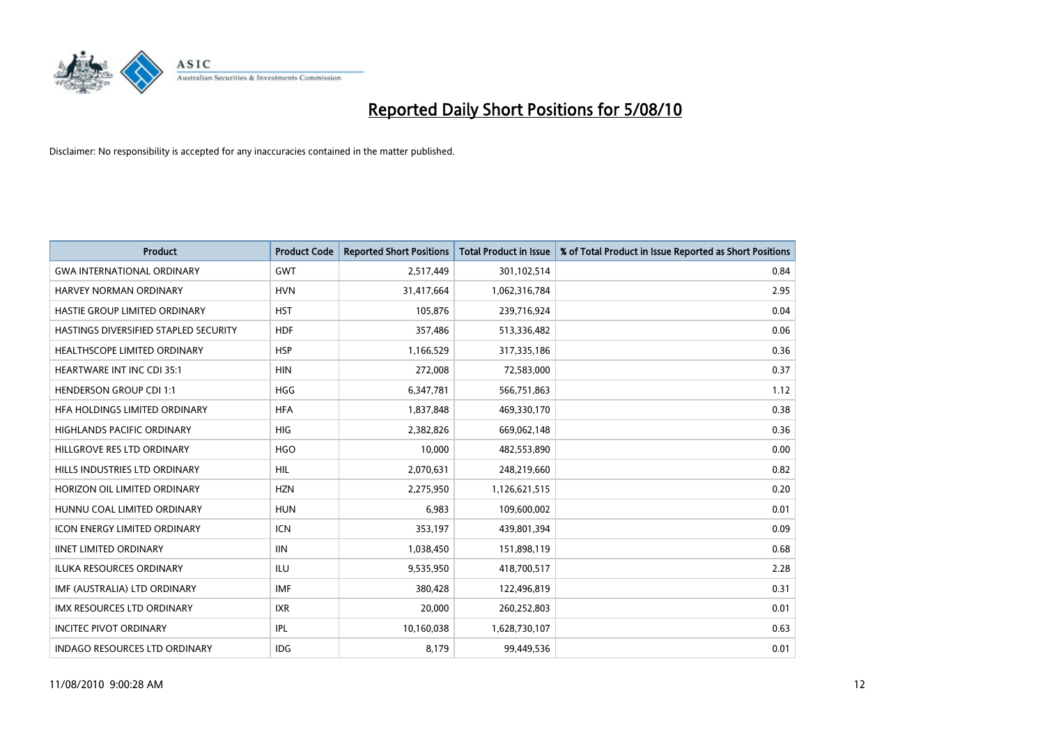

| <b>Product</b>                        | <b>Product Code</b> | <b>Reported Short Positions</b> | <b>Total Product in Issue</b> | % of Total Product in Issue Reported as Short Positions |
|---------------------------------------|---------------------|---------------------------------|-------------------------------|---------------------------------------------------------|
| <b>GWA INTERNATIONAL ORDINARY</b>     | <b>GWT</b>          | 2,517,449                       | 301,102,514                   | 0.84                                                    |
| HARVEY NORMAN ORDINARY                | <b>HVN</b>          | 31,417,664                      | 1,062,316,784                 | 2.95                                                    |
| HASTIE GROUP LIMITED ORDINARY         | <b>HST</b>          | 105,876                         | 239,716,924                   | 0.04                                                    |
| HASTINGS DIVERSIFIED STAPLED SECURITY | <b>HDF</b>          | 357,486                         | 513,336,482                   | 0.06                                                    |
| HEALTHSCOPE LIMITED ORDINARY          | <b>HSP</b>          | 1,166,529                       | 317,335,186                   | 0.36                                                    |
| <b>HEARTWARE INT INC CDI 35:1</b>     | <b>HIN</b>          | 272,008                         | 72,583,000                    | 0.37                                                    |
| <b>HENDERSON GROUP CDI 1:1</b>        | <b>HGG</b>          | 6,347,781                       | 566,751,863                   | 1.12                                                    |
| HFA HOLDINGS LIMITED ORDINARY         | <b>HFA</b>          | 1,837,848                       | 469,330,170                   | 0.38                                                    |
| HIGHLANDS PACIFIC ORDINARY            | <b>HIG</b>          | 2,382,826                       | 669,062,148                   | 0.36                                                    |
| HILLGROVE RES LTD ORDINARY            | <b>HGO</b>          | 10,000                          | 482,553,890                   | 0.00                                                    |
| HILLS INDUSTRIES LTD ORDINARY         | <b>HIL</b>          | 2,070,631                       | 248,219,660                   | 0.82                                                    |
| HORIZON OIL LIMITED ORDINARY          | <b>HZN</b>          | 2,275,950                       | 1,126,621,515                 | 0.20                                                    |
| HUNNU COAL LIMITED ORDINARY           | <b>HUN</b>          | 6,983                           | 109,600,002                   | 0.01                                                    |
| <b>ICON ENERGY LIMITED ORDINARY</b>   | <b>ICN</b>          | 353,197                         | 439,801,394                   | 0.09                                                    |
| <b>IINET LIMITED ORDINARY</b>         | <b>IIN</b>          | 1,038,450                       | 151,898,119                   | 0.68                                                    |
| ILUKA RESOURCES ORDINARY              | ILU                 | 9,535,950                       | 418,700,517                   | 2.28                                                    |
| IMF (AUSTRALIA) LTD ORDINARY          | <b>IMF</b>          | 380,428                         | 122,496,819                   | 0.31                                                    |
| IMX RESOURCES LTD ORDINARY            | <b>IXR</b>          | 20,000                          | 260,252,803                   | 0.01                                                    |
| <b>INCITEC PIVOT ORDINARY</b>         | <b>IPL</b>          | 10,160,038                      | 1,628,730,107                 | 0.63                                                    |
| <b>INDAGO RESOURCES LTD ORDINARY</b>  | <b>IDG</b>          | 8,179                           | 99,449,536                    | 0.01                                                    |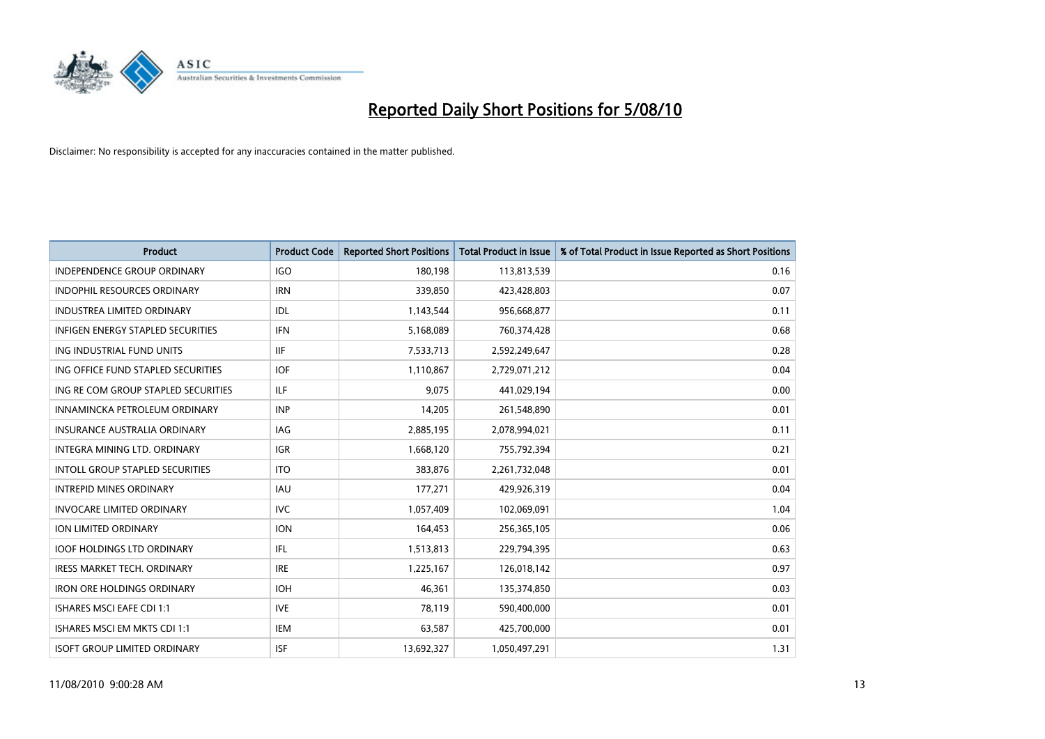

| <b>Product</b>                      | <b>Product Code</b> | <b>Reported Short Positions</b> | <b>Total Product in Issue</b> | % of Total Product in Issue Reported as Short Positions |
|-------------------------------------|---------------------|---------------------------------|-------------------------------|---------------------------------------------------------|
| <b>INDEPENDENCE GROUP ORDINARY</b>  | <b>IGO</b>          | 180,198                         | 113,813,539                   | 0.16                                                    |
| INDOPHIL RESOURCES ORDINARY         | <b>IRN</b>          | 339,850                         | 423,428,803                   | 0.07                                                    |
| <b>INDUSTREA LIMITED ORDINARY</b>   | IDL                 | 1,143,544                       | 956,668,877                   | 0.11                                                    |
| INFIGEN ENERGY STAPLED SECURITIES   | <b>IFN</b>          | 5,168,089                       | 760,374,428                   | 0.68                                                    |
| ING INDUSTRIAL FUND UNITS           | <b>IIF</b>          | 7,533,713                       | 2,592,249,647                 | 0.28                                                    |
| ING OFFICE FUND STAPLED SECURITIES  | <b>IOF</b>          | 1,110,867                       | 2,729,071,212                 | 0.04                                                    |
| ING RE COM GROUP STAPLED SECURITIES | <b>ILF</b>          | 9,075                           | 441,029,194                   | 0.00                                                    |
| INNAMINCKA PETROLEUM ORDINARY       | <b>INP</b>          | 14,205                          | 261,548,890                   | 0.01                                                    |
| <b>INSURANCE AUSTRALIA ORDINARY</b> | <b>IAG</b>          | 2,885,195                       | 2,078,994,021                 | 0.11                                                    |
| INTEGRA MINING LTD, ORDINARY        | <b>IGR</b>          | 1,668,120                       | 755,792,394                   | 0.21                                                    |
| INTOLL GROUP STAPLED SECURITIES     | <b>ITO</b>          | 383,876                         | 2,261,732,048                 | 0.01                                                    |
| <b>INTREPID MINES ORDINARY</b>      | <b>IAU</b>          | 177,271                         | 429,926,319                   | 0.04                                                    |
| <b>INVOCARE LIMITED ORDINARY</b>    | <b>IVC</b>          | 1,057,409                       | 102,069,091                   | 1.04                                                    |
| ION LIMITED ORDINARY                | <b>ION</b>          | 164,453                         | 256,365,105                   | 0.06                                                    |
| <b>IOOF HOLDINGS LTD ORDINARY</b>   | IFL.                | 1,513,813                       | 229,794,395                   | 0.63                                                    |
| IRESS MARKET TECH. ORDINARY         | <b>IRE</b>          | 1,225,167                       | 126,018,142                   | 0.97                                                    |
| <b>IRON ORE HOLDINGS ORDINARY</b>   | <b>IOH</b>          | 46,361                          | 135,374,850                   | 0.03                                                    |
| <b>ISHARES MSCI EAFE CDI 1:1</b>    | <b>IVE</b>          | 78,119                          | 590,400,000                   | 0.01                                                    |
| ISHARES MSCI EM MKTS CDI 1:1        | <b>IEM</b>          | 63,587                          | 425,700,000                   | 0.01                                                    |
| <b>ISOFT GROUP LIMITED ORDINARY</b> | <b>ISF</b>          | 13,692,327                      | 1,050,497,291                 | 1.31                                                    |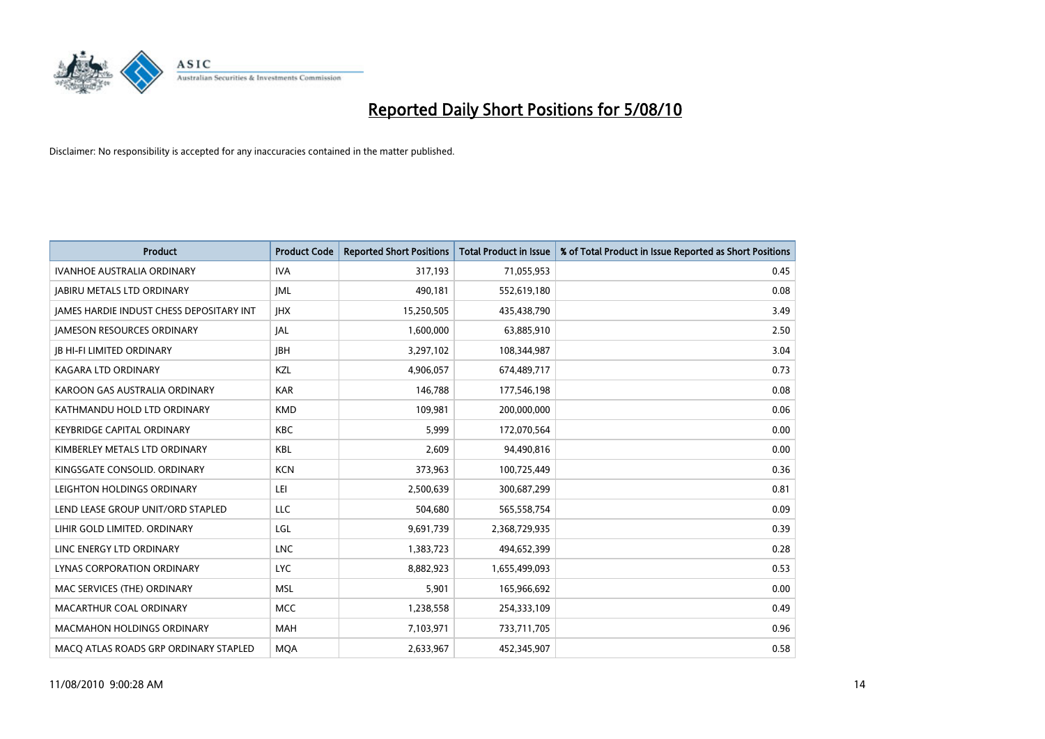

| <b>Product</b>                           | <b>Product Code</b> | <b>Reported Short Positions</b> | <b>Total Product in Issue</b> | % of Total Product in Issue Reported as Short Positions |
|------------------------------------------|---------------------|---------------------------------|-------------------------------|---------------------------------------------------------|
| <b>IVANHOE AUSTRALIA ORDINARY</b>        | <b>IVA</b>          | 317,193                         | 71,055,953                    | 0.45                                                    |
| <b>JABIRU METALS LTD ORDINARY</b>        | <b>JML</b>          | 490,181                         | 552,619,180                   | 0.08                                                    |
| JAMES HARDIE INDUST CHESS DEPOSITARY INT | <b>IHX</b>          | 15,250,505                      | 435,438,790                   | 3.49                                                    |
| <b>JAMESON RESOURCES ORDINARY</b>        | <b>JAL</b>          | 1,600,000                       | 63,885,910                    | 2.50                                                    |
| <b>IB HI-FI LIMITED ORDINARY</b>         | <b>IBH</b>          | 3,297,102                       | 108,344,987                   | 3.04                                                    |
| <b>KAGARA LTD ORDINARY</b>               | KZL                 | 4,906,057                       | 674,489,717                   | 0.73                                                    |
| KAROON GAS AUSTRALIA ORDINARY            | <b>KAR</b>          | 146,788                         | 177,546,198                   | 0.08                                                    |
| KATHMANDU HOLD LTD ORDINARY              | <b>KMD</b>          | 109,981                         | 200,000,000                   | 0.06                                                    |
| <b>KEYBRIDGE CAPITAL ORDINARY</b>        | <b>KBC</b>          | 5,999                           | 172,070,564                   | 0.00                                                    |
| KIMBERLEY METALS LTD ORDINARY            | <b>KBL</b>          | 2,609                           | 94,490,816                    | 0.00                                                    |
| KINGSGATE CONSOLID. ORDINARY             | <b>KCN</b>          | 373,963                         | 100,725,449                   | 0.36                                                    |
| LEIGHTON HOLDINGS ORDINARY               | LEI                 | 2,500,639                       | 300,687,299                   | 0.81                                                    |
| LEND LEASE GROUP UNIT/ORD STAPLED        | LLC                 | 504,680                         | 565,558,754                   | 0.09                                                    |
| LIHIR GOLD LIMITED. ORDINARY             | LGL                 | 9,691,739                       | 2,368,729,935                 | 0.39                                                    |
| LINC ENERGY LTD ORDINARY                 | <b>LNC</b>          | 1,383,723                       | 494,652,399                   | 0.28                                                    |
| LYNAS CORPORATION ORDINARY               | <b>LYC</b>          | 8,882,923                       | 1,655,499,093                 | 0.53                                                    |
| MAC SERVICES (THE) ORDINARY              | <b>MSL</b>          | 5,901                           | 165,966,692                   | 0.00                                                    |
| MACARTHUR COAL ORDINARY                  | MCC                 | 1,238,558                       | 254,333,109                   | 0.49                                                    |
| <b>MACMAHON HOLDINGS ORDINARY</b>        | <b>MAH</b>          | 7,103,971                       | 733,711,705                   | 0.96                                                    |
| MACO ATLAS ROADS GRP ORDINARY STAPLED    | <b>MOA</b>          | 2,633,967                       | 452,345,907                   | 0.58                                                    |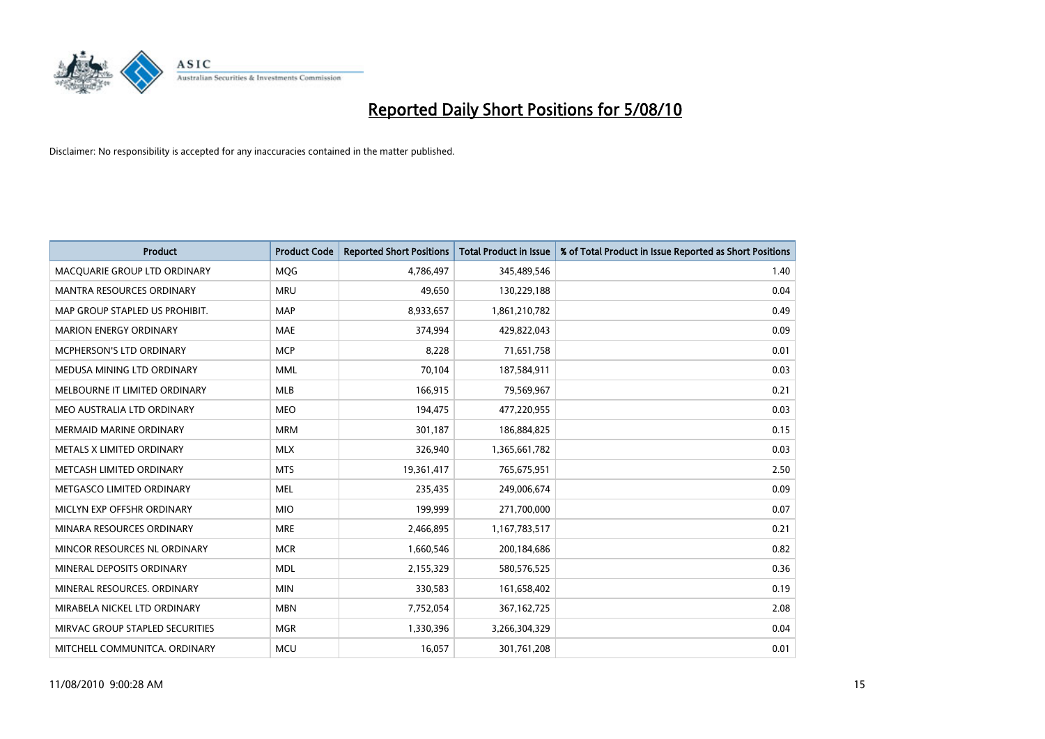

| <b>Product</b>                   | <b>Product Code</b> | <b>Reported Short Positions</b> | <b>Total Product in Issue</b> | % of Total Product in Issue Reported as Short Positions |
|----------------------------------|---------------------|---------------------------------|-------------------------------|---------------------------------------------------------|
| MACQUARIE GROUP LTD ORDINARY     | MQG                 | 4,786,497                       | 345,489,546                   | 1.40                                                    |
| <b>MANTRA RESOURCES ORDINARY</b> | <b>MRU</b>          | 49,650                          | 130,229,188                   | 0.04                                                    |
| MAP GROUP STAPLED US PROHIBIT.   | <b>MAP</b>          | 8,933,657                       | 1,861,210,782                 | 0.49                                                    |
| <b>MARION ENERGY ORDINARY</b>    | MAE                 | 374,994                         | 429,822,043                   | 0.09                                                    |
| MCPHERSON'S LTD ORDINARY         | <b>MCP</b>          | 8,228                           | 71,651,758                    | 0.01                                                    |
| MEDUSA MINING LTD ORDINARY       | <b>MML</b>          | 70,104                          | 187,584,911                   | 0.03                                                    |
| MELBOURNE IT LIMITED ORDINARY    | MLB                 | 166,915                         | 79,569,967                    | 0.21                                                    |
| MEO AUSTRALIA LTD ORDINARY       | <b>MEO</b>          | 194,475                         | 477,220,955                   | 0.03                                                    |
| <b>MERMAID MARINE ORDINARY</b>   | <b>MRM</b>          | 301,187                         | 186,884,825                   | 0.15                                                    |
| METALS X LIMITED ORDINARY        | <b>MLX</b>          | 326,940                         | 1,365,661,782                 | 0.03                                                    |
| METCASH LIMITED ORDINARY         | <b>MTS</b>          | 19,361,417                      | 765,675,951                   | 2.50                                                    |
| METGASCO LIMITED ORDINARY        | <b>MEL</b>          | 235,435                         | 249,006,674                   | 0.09                                                    |
| MICLYN EXP OFFSHR ORDINARY       | <b>MIO</b>          | 199,999                         | 271,700,000                   | 0.07                                                    |
| MINARA RESOURCES ORDINARY        | <b>MRE</b>          | 2,466,895                       | 1,167,783,517                 | 0.21                                                    |
| MINCOR RESOURCES NL ORDINARY     | <b>MCR</b>          | 1,660,546                       | 200,184,686                   | 0.82                                                    |
| MINERAL DEPOSITS ORDINARY        | <b>MDL</b>          | 2,155,329                       | 580,576,525                   | 0.36                                                    |
| MINERAL RESOURCES. ORDINARY      | <b>MIN</b>          | 330,583                         | 161,658,402                   | 0.19                                                    |
| MIRABELA NICKEL LTD ORDINARY     | <b>MBN</b>          | 7,752,054                       | 367, 162, 725                 | 2.08                                                    |
| MIRVAC GROUP STAPLED SECURITIES  | <b>MGR</b>          | 1,330,396                       | 3,266,304,329                 | 0.04                                                    |
| MITCHELL COMMUNITCA. ORDINARY    | <b>MCU</b>          | 16,057                          | 301,761,208                   | 0.01                                                    |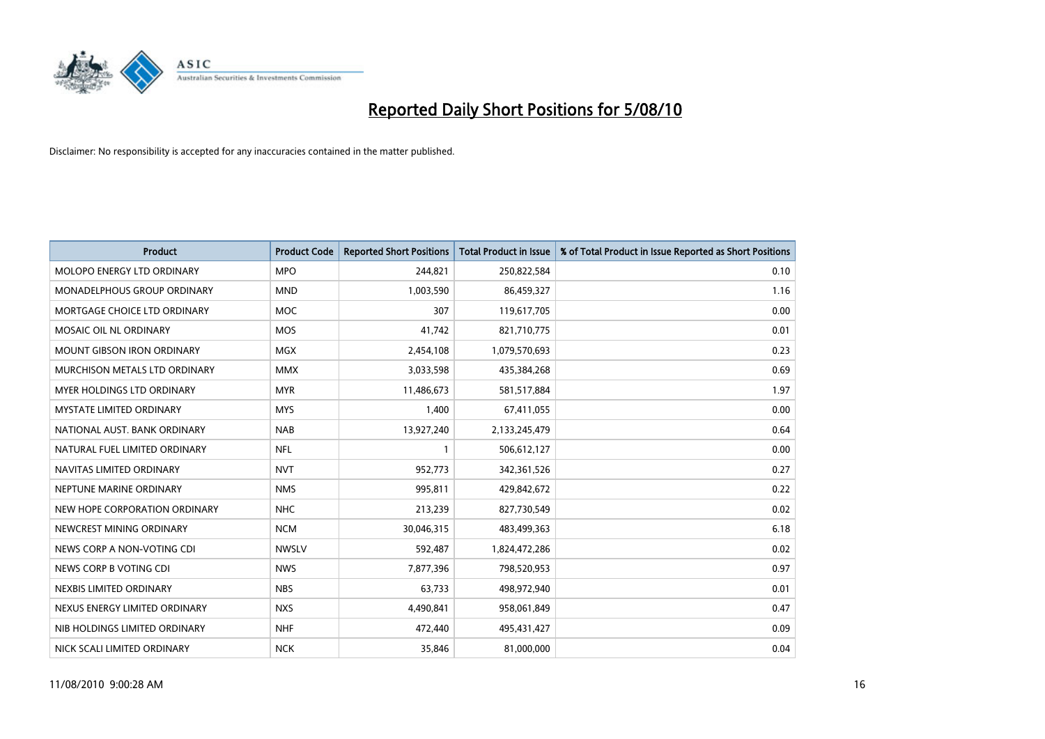

| <b>Product</b>                    | <b>Product Code</b> | <b>Reported Short Positions</b> | <b>Total Product in Issue</b> | % of Total Product in Issue Reported as Short Positions |
|-----------------------------------|---------------------|---------------------------------|-------------------------------|---------------------------------------------------------|
| <b>MOLOPO ENERGY LTD ORDINARY</b> | <b>MPO</b>          | 244,821                         | 250,822,584                   | 0.10                                                    |
| MONADELPHOUS GROUP ORDINARY       | <b>MND</b>          | 1,003,590                       | 86,459,327                    | 1.16                                                    |
| MORTGAGE CHOICE LTD ORDINARY      | <b>MOC</b>          | 307                             | 119,617,705                   | 0.00                                                    |
| MOSAIC OIL NL ORDINARY            | <b>MOS</b>          | 41,742                          | 821,710,775                   | 0.01                                                    |
| <b>MOUNT GIBSON IRON ORDINARY</b> | <b>MGX</b>          | 2,454,108                       | 1,079,570,693                 | 0.23                                                    |
| MURCHISON METALS LTD ORDINARY     | <b>MMX</b>          | 3,033,598                       | 435,384,268                   | 0.69                                                    |
| <b>MYER HOLDINGS LTD ORDINARY</b> | <b>MYR</b>          | 11,486,673                      | 581,517,884                   | 1.97                                                    |
| <b>MYSTATE LIMITED ORDINARY</b>   | <b>MYS</b>          | 1,400                           | 67,411,055                    | 0.00                                                    |
| NATIONAL AUST, BANK ORDINARY      | <b>NAB</b>          | 13,927,240                      | 2,133,245,479                 | 0.64                                                    |
| NATURAL FUEL LIMITED ORDINARY     | <b>NFL</b>          |                                 | 506,612,127                   | 0.00                                                    |
| NAVITAS LIMITED ORDINARY          | <b>NVT</b>          | 952,773                         | 342,361,526                   | 0.27                                                    |
| NEPTUNE MARINE ORDINARY           | <b>NMS</b>          | 995,811                         | 429,842,672                   | 0.22                                                    |
| NEW HOPE CORPORATION ORDINARY     | <b>NHC</b>          | 213,239                         | 827,730,549                   | 0.02                                                    |
| NEWCREST MINING ORDINARY          | <b>NCM</b>          | 30,046,315                      | 483,499,363                   | 6.18                                                    |
| NEWS CORP A NON-VOTING CDI        | <b>NWSLV</b>        | 592,487                         | 1,824,472,286                 | 0.02                                                    |
| NEWS CORP B VOTING CDI            | <b>NWS</b>          | 7,877,396                       | 798,520,953                   | 0.97                                                    |
| NEXBIS LIMITED ORDINARY           | <b>NBS</b>          | 63,733                          | 498,972,940                   | 0.01                                                    |
| NEXUS ENERGY LIMITED ORDINARY     | <b>NXS</b>          | 4,490,841                       | 958,061,849                   | 0.47                                                    |
| NIB HOLDINGS LIMITED ORDINARY     | <b>NHF</b>          | 472,440                         | 495,431,427                   | 0.09                                                    |
| NICK SCALI LIMITED ORDINARY       | <b>NCK</b>          | 35,846                          | 81,000,000                    | 0.04                                                    |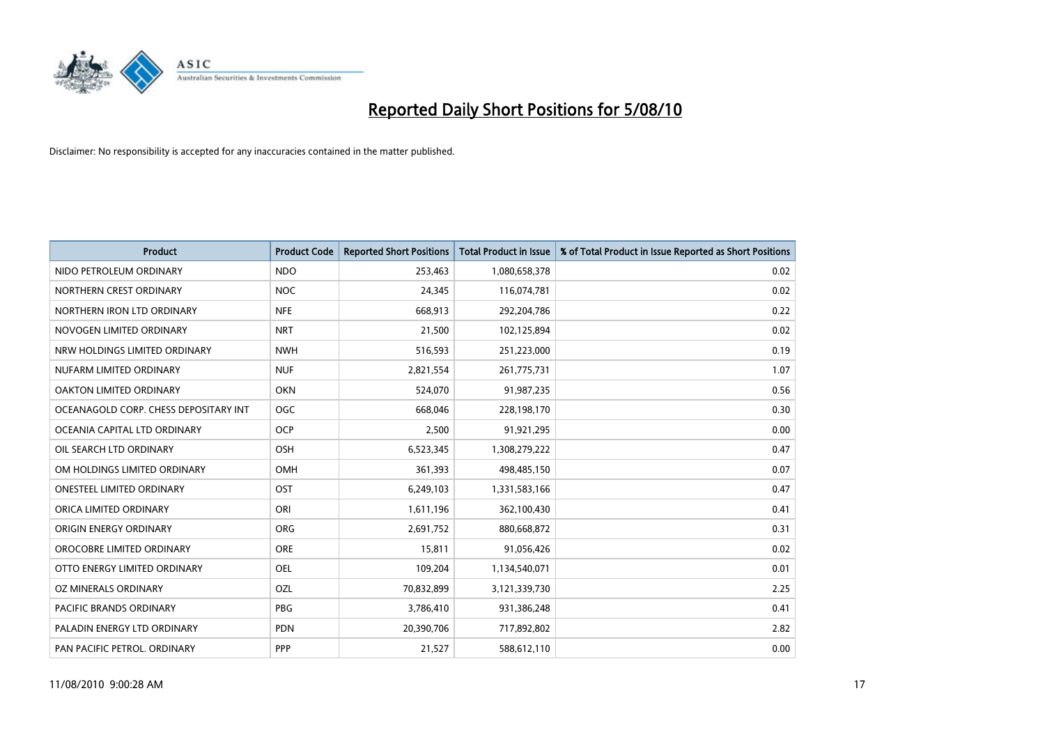

| <b>Product</b>                        | <b>Product Code</b> | <b>Reported Short Positions</b> | <b>Total Product in Issue</b> | % of Total Product in Issue Reported as Short Positions |
|---------------------------------------|---------------------|---------------------------------|-------------------------------|---------------------------------------------------------|
| NIDO PETROLEUM ORDINARY               | <b>NDO</b>          | 253,463                         | 1,080,658,378                 | 0.02                                                    |
| NORTHERN CREST ORDINARY               | <b>NOC</b>          | 24,345                          | 116,074,781                   | 0.02                                                    |
| NORTHERN IRON LTD ORDINARY            | <b>NFE</b>          | 668.913                         | 292,204,786                   | 0.22                                                    |
| NOVOGEN LIMITED ORDINARY              | <b>NRT</b>          | 21,500                          | 102,125,894                   | 0.02                                                    |
| NRW HOLDINGS LIMITED ORDINARY         | <b>NWH</b>          | 516,593                         | 251,223,000                   | 0.19                                                    |
| NUFARM LIMITED ORDINARY               | <b>NUF</b>          | 2,821,554                       | 261,775,731                   | 1.07                                                    |
| OAKTON LIMITED ORDINARY               | <b>OKN</b>          | 524,070                         | 91,987,235                    | 0.56                                                    |
| OCEANAGOLD CORP. CHESS DEPOSITARY INT | OGC                 | 668,046                         | 228,198,170                   | 0.30                                                    |
| OCEANIA CAPITAL LTD ORDINARY          | <b>OCP</b>          | 2,500                           | 91,921,295                    | 0.00                                                    |
| OIL SEARCH LTD ORDINARY               | <b>OSH</b>          | 6,523,345                       | 1,308,279,222                 | 0.47                                                    |
| OM HOLDINGS LIMITED ORDINARY          | <b>OMH</b>          | 361,393                         | 498,485,150                   | 0.07                                                    |
| <b>ONESTEEL LIMITED ORDINARY</b>      | OST                 | 6,249,103                       | 1,331,583,166                 | 0.47                                                    |
| ORICA LIMITED ORDINARY                | ORI                 | 1,611,196                       | 362,100,430                   | 0.41                                                    |
| ORIGIN ENERGY ORDINARY                | ORG                 | 2,691,752                       | 880,668,872                   | 0.31                                                    |
| OROCOBRE LIMITED ORDINARY             | <b>ORE</b>          | 15,811                          | 91,056,426                    | 0.02                                                    |
| OTTO ENERGY LIMITED ORDINARY          | <b>OEL</b>          | 109,204                         | 1,134,540,071                 | 0.01                                                    |
| OZ MINERALS ORDINARY                  | OZL                 | 70,832,899                      | 3,121,339,730                 | 2.25                                                    |
| <b>PACIFIC BRANDS ORDINARY</b>        | <b>PBG</b>          | 3,786,410                       | 931,386,248                   | 0.41                                                    |
| PALADIN ENERGY LTD ORDINARY           | <b>PDN</b>          | 20,390,706                      | 717,892,802                   | 2.82                                                    |
| PAN PACIFIC PETROL. ORDINARY          | <b>PPP</b>          | 21,527                          | 588,612,110                   | 0.00                                                    |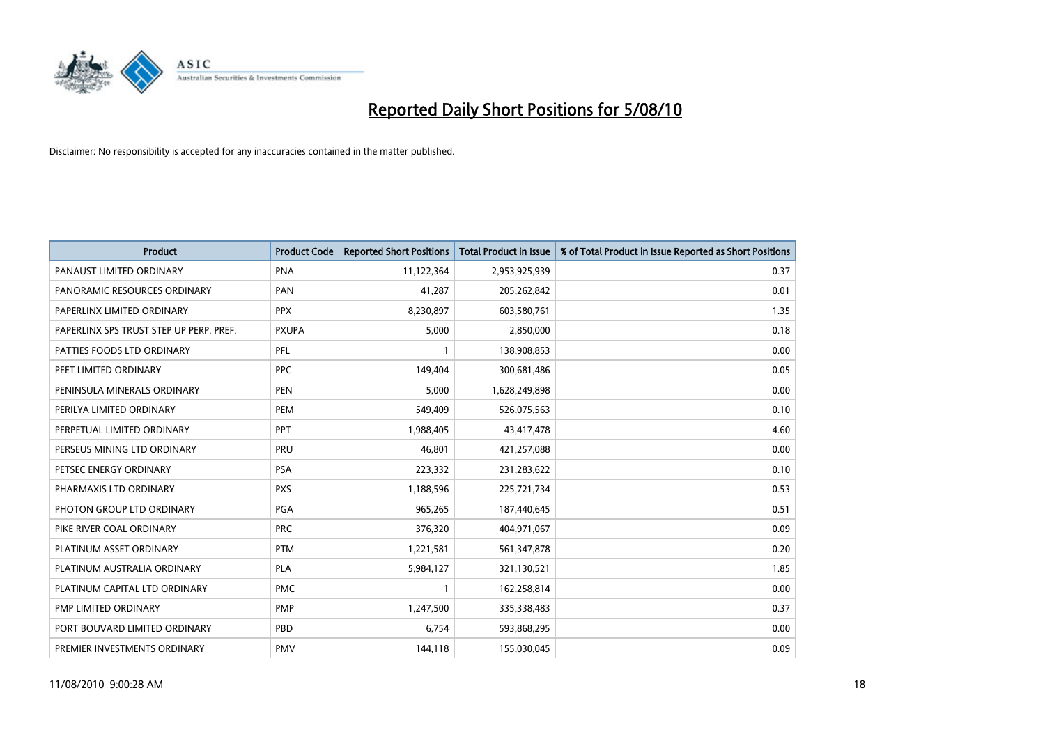

| <b>Product</b>                          | <b>Product Code</b> | <b>Reported Short Positions</b> | Total Product in Issue | % of Total Product in Issue Reported as Short Positions |
|-----------------------------------------|---------------------|---------------------------------|------------------------|---------------------------------------------------------|
| PANAUST LIMITED ORDINARY                | <b>PNA</b>          | 11,122,364                      | 2,953,925,939          | 0.37                                                    |
| PANORAMIC RESOURCES ORDINARY            | PAN                 | 41,287                          | 205,262,842            | 0.01                                                    |
| PAPERLINX LIMITED ORDINARY              | <b>PPX</b>          | 8,230,897                       | 603,580,761            | 1.35                                                    |
| PAPERLINX SPS TRUST STEP UP PERP. PREF. | <b>PXUPA</b>        | 5,000                           | 2,850,000              | 0.18                                                    |
| PATTIES FOODS LTD ORDINARY              | PFL                 |                                 | 138,908,853            | 0.00                                                    |
| PEET LIMITED ORDINARY                   | <b>PPC</b>          | 149.404                         | 300,681,486            | 0.05                                                    |
| PENINSULA MINERALS ORDINARY             | <b>PEN</b>          | 5,000                           | 1,628,249,898          | 0.00                                                    |
| PERILYA LIMITED ORDINARY                | PEM                 | 549,409                         | 526,075,563            | 0.10                                                    |
| PERPETUAL LIMITED ORDINARY              | <b>PPT</b>          | 1,988,405                       | 43,417,478             | 4.60                                                    |
| PERSEUS MINING LTD ORDINARY             | PRU                 | 46.801                          | 421,257,088            | 0.00                                                    |
| PETSEC ENERGY ORDINARY                  | <b>PSA</b>          | 223,332                         | 231,283,622            | 0.10                                                    |
| PHARMAXIS LTD ORDINARY                  | <b>PXS</b>          | 1,188,596                       | 225,721,734            | 0.53                                                    |
| PHOTON GROUP LTD ORDINARY               | <b>PGA</b>          | 965,265                         | 187,440,645            | 0.51                                                    |
| PIKE RIVER COAL ORDINARY                | <b>PRC</b>          | 376,320                         | 404,971,067            | 0.09                                                    |
| PLATINUM ASSET ORDINARY                 | <b>PTM</b>          | 1,221,581                       | 561,347,878            | 0.20                                                    |
| PLATINUM AUSTRALIA ORDINARY             | <b>PLA</b>          | 5,984,127                       | 321,130,521            | 1.85                                                    |
| PLATINUM CAPITAL LTD ORDINARY           | <b>PMC</b>          |                                 | 162,258,814            | 0.00                                                    |
| PMP LIMITED ORDINARY                    | <b>PMP</b>          | 1,247,500                       | 335,338,483            | 0.37                                                    |
| PORT BOUVARD LIMITED ORDINARY           | PBD                 | 6,754                           | 593,868,295            | 0.00                                                    |
| PREMIER INVESTMENTS ORDINARY            | <b>PMV</b>          | 144,118                         | 155,030,045            | 0.09                                                    |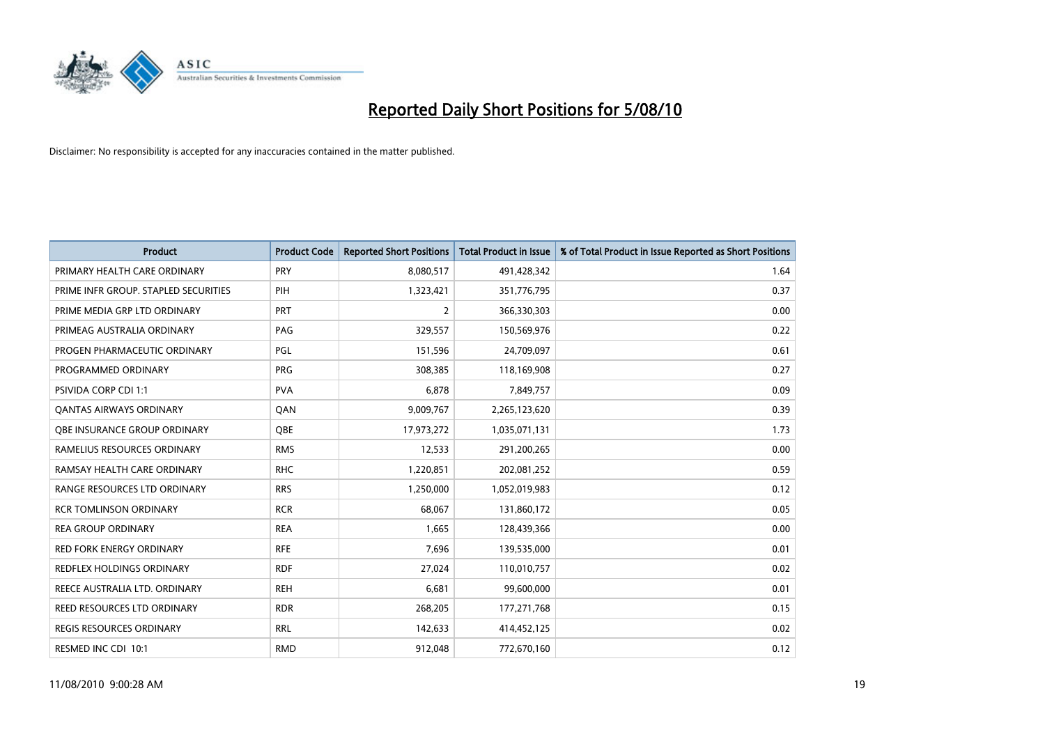

| <b>Product</b>                       | <b>Product Code</b> | <b>Reported Short Positions</b> | <b>Total Product in Issue</b> | % of Total Product in Issue Reported as Short Positions |
|--------------------------------------|---------------------|---------------------------------|-------------------------------|---------------------------------------------------------|
| PRIMARY HEALTH CARE ORDINARY         | PRY                 | 8,080,517                       | 491,428,342                   | 1.64                                                    |
| PRIME INFR GROUP. STAPLED SECURITIES | PIH                 | 1,323,421                       | 351,776,795                   | 0.37                                                    |
| PRIME MEDIA GRP LTD ORDINARY         | <b>PRT</b>          | $\overline{2}$                  | 366,330,303                   | 0.00                                                    |
| PRIMEAG AUSTRALIA ORDINARY           | PAG                 | 329,557                         | 150,569,976                   | 0.22                                                    |
| PROGEN PHARMACEUTIC ORDINARY         | <b>PGL</b>          | 151,596                         | 24,709,097                    | 0.61                                                    |
| PROGRAMMED ORDINARY                  | PRG                 | 308,385                         | 118,169,908                   | 0.27                                                    |
| <b>PSIVIDA CORP CDI 1:1</b>          | <b>PVA</b>          | 6,878                           | 7,849,757                     | 0.09                                                    |
| <b>QANTAS AIRWAYS ORDINARY</b>       | QAN                 | 9,009,767                       | 2,265,123,620                 | 0.39                                                    |
| OBE INSURANCE GROUP ORDINARY         | <b>OBE</b>          | 17,973,272                      | 1,035,071,131                 | 1.73                                                    |
| RAMELIUS RESOURCES ORDINARY          | <b>RMS</b>          | 12,533                          | 291,200,265                   | 0.00                                                    |
| RAMSAY HEALTH CARE ORDINARY          | <b>RHC</b>          | 1,220,851                       | 202,081,252                   | 0.59                                                    |
| RANGE RESOURCES LTD ORDINARY         | <b>RRS</b>          | 1,250,000                       | 1,052,019,983                 | 0.12                                                    |
| <b>RCR TOMLINSON ORDINARY</b>        | <b>RCR</b>          | 68,067                          | 131,860,172                   | 0.05                                                    |
| <b>REA GROUP ORDINARY</b>            | <b>REA</b>          | 1,665                           | 128,439,366                   | 0.00                                                    |
| <b>RED FORK ENERGY ORDINARY</b>      | <b>RFE</b>          | 7,696                           | 139,535,000                   | 0.01                                                    |
| <b>REDFLEX HOLDINGS ORDINARY</b>     | <b>RDF</b>          | 27,024                          | 110,010,757                   | 0.02                                                    |
| REECE AUSTRALIA LTD. ORDINARY        | <b>REH</b>          | 6,681                           | 99,600,000                    | 0.01                                                    |
| REED RESOURCES LTD ORDINARY          | <b>RDR</b>          | 268,205                         | 177,271,768                   | 0.15                                                    |
| <b>REGIS RESOURCES ORDINARY</b>      | <b>RRL</b>          | 142,633                         | 414,452,125                   | 0.02                                                    |
| RESMED INC CDI 10:1                  | <b>RMD</b>          | 912,048                         | 772,670,160                   | 0.12                                                    |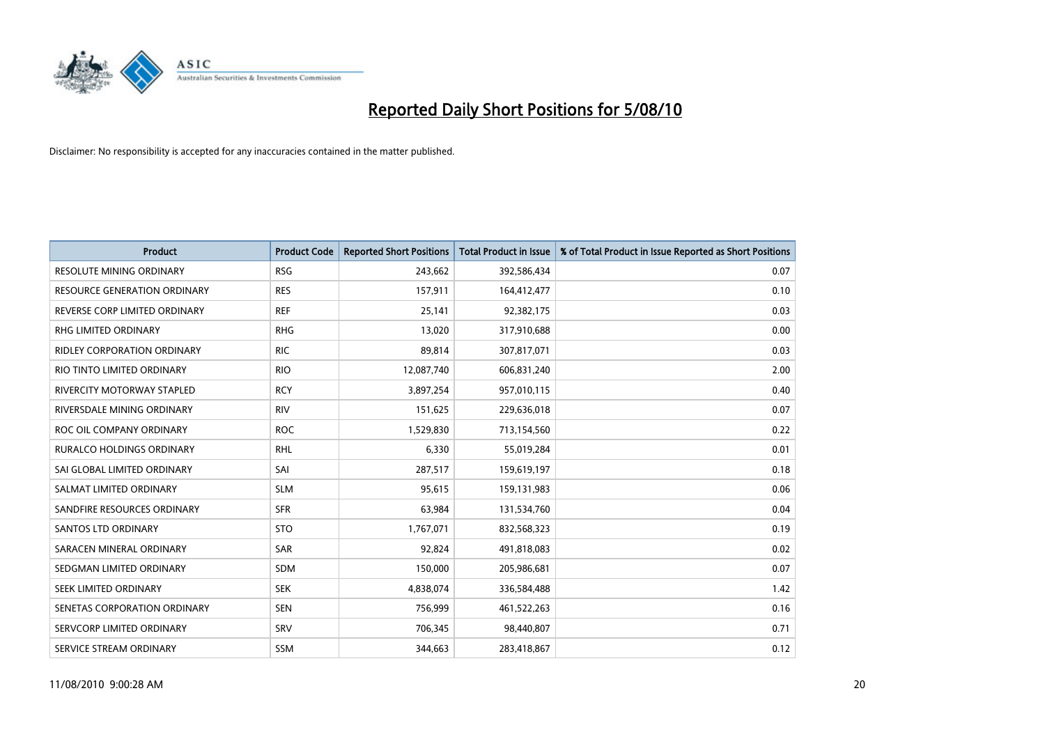

| <b>Product</b>                      | <b>Product Code</b> | <b>Reported Short Positions</b> | Total Product in Issue | % of Total Product in Issue Reported as Short Positions |
|-------------------------------------|---------------------|---------------------------------|------------------------|---------------------------------------------------------|
| <b>RESOLUTE MINING ORDINARY</b>     | <b>RSG</b>          | 243,662                         | 392,586,434            | 0.07                                                    |
| <b>RESOURCE GENERATION ORDINARY</b> | <b>RES</b>          | 157,911                         | 164,412,477            | 0.10                                                    |
| REVERSE CORP LIMITED ORDINARY       | <b>REF</b>          | 25,141                          | 92,382,175             | 0.03                                                    |
| RHG LIMITED ORDINARY                | <b>RHG</b>          | 13,020                          | 317,910,688            | 0.00                                                    |
| RIDLEY CORPORATION ORDINARY         | <b>RIC</b>          | 89,814                          | 307,817,071            | 0.03                                                    |
| RIO TINTO LIMITED ORDINARY          | <b>RIO</b>          | 12,087,740                      | 606,831,240            | 2.00                                                    |
| RIVERCITY MOTORWAY STAPLED          | <b>RCY</b>          | 3,897,254                       | 957,010,115            | 0.40                                                    |
| RIVERSDALE MINING ORDINARY          | <b>RIV</b>          | 151,625                         | 229,636,018            | 0.07                                                    |
| ROC OIL COMPANY ORDINARY            | <b>ROC</b>          | 1,529,830                       | 713,154,560            | 0.22                                                    |
| RURALCO HOLDINGS ORDINARY           | <b>RHL</b>          | 6,330                           | 55,019,284             | 0.01                                                    |
| SAI GLOBAL LIMITED ORDINARY         | SAI                 | 287,517                         | 159,619,197            | 0.18                                                    |
| SALMAT LIMITED ORDINARY             | <b>SLM</b>          | 95,615                          | 159,131,983            | 0.06                                                    |
| SANDFIRE RESOURCES ORDINARY         | <b>SFR</b>          | 63,984                          | 131,534,760            | 0.04                                                    |
| <b>SANTOS LTD ORDINARY</b>          | <b>STO</b>          | 1,767,071                       | 832,568,323            | 0.19                                                    |
| SARACEN MINERAL ORDINARY            | <b>SAR</b>          | 92,824                          | 491,818,083            | 0.02                                                    |
| SEDGMAN LIMITED ORDINARY            | <b>SDM</b>          | 150,000                         | 205,986,681            | 0.07                                                    |
| SEEK LIMITED ORDINARY               | <b>SEK</b>          | 4,838,074                       | 336,584,488            | 1.42                                                    |
| SENETAS CORPORATION ORDINARY        | <b>SEN</b>          | 756,999                         | 461,522,263            | 0.16                                                    |
| SERVCORP LIMITED ORDINARY           | SRV                 | 706,345                         | 98,440,807             | 0.71                                                    |
| SERVICE STREAM ORDINARY             | <b>SSM</b>          | 344,663                         | 283,418,867            | 0.12                                                    |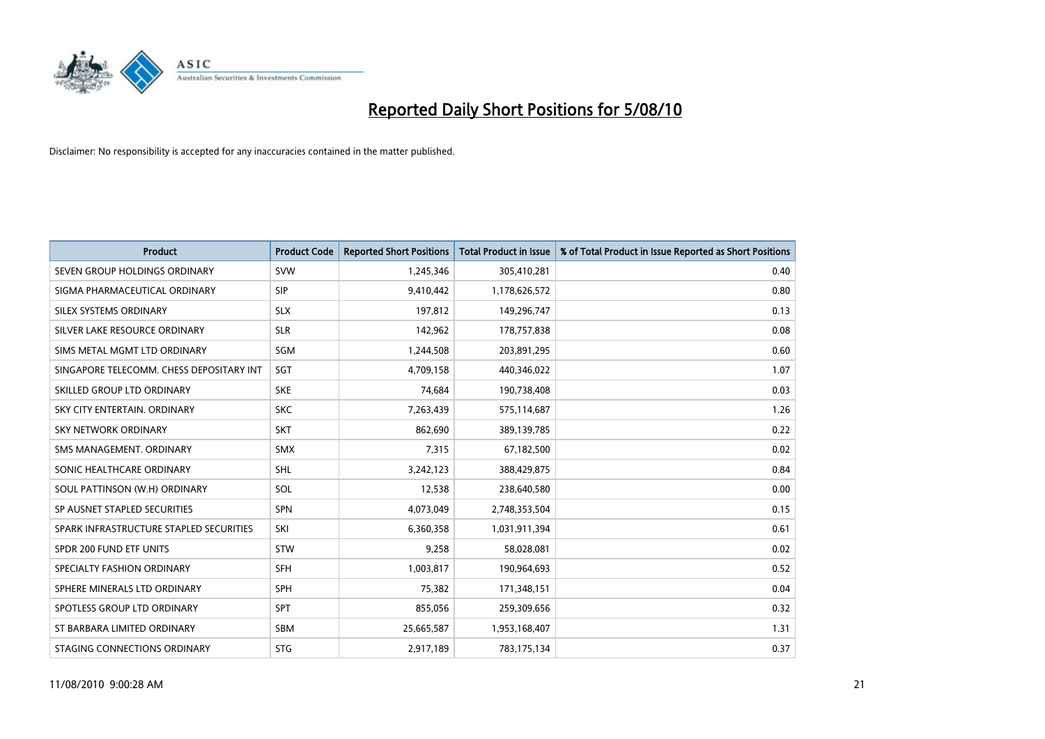

| <b>Product</b>                           | <b>Product Code</b> | <b>Reported Short Positions</b> | Total Product in Issue | % of Total Product in Issue Reported as Short Positions |
|------------------------------------------|---------------------|---------------------------------|------------------------|---------------------------------------------------------|
| SEVEN GROUP HOLDINGS ORDINARY            | SVW                 | 1,245,346                       | 305,410,281            | 0.40                                                    |
| SIGMA PHARMACEUTICAL ORDINARY            | <b>SIP</b>          | 9,410,442                       | 1,178,626,572          | 0.80                                                    |
| SILEX SYSTEMS ORDINARY                   | <b>SLX</b>          | 197,812                         | 149,296,747            | 0.13                                                    |
| SILVER LAKE RESOURCE ORDINARY            | <b>SLR</b>          | 142,962                         | 178,757,838            | 0.08                                                    |
| SIMS METAL MGMT LTD ORDINARY             | SGM                 | 1,244,508                       | 203,891,295            | 0.60                                                    |
| SINGAPORE TELECOMM. CHESS DEPOSITARY INT | SGT                 | 4,709,158                       | 440,346,022            | 1.07                                                    |
| SKILLED GROUP LTD ORDINARY               | <b>SKE</b>          | 74.684                          | 190,738,408            | 0.03                                                    |
| SKY CITY ENTERTAIN, ORDINARY             | <b>SKC</b>          | 7,263,439                       | 575,114,687            | 1.26                                                    |
| SKY NETWORK ORDINARY                     | <b>SKT</b>          | 862,690                         | 389,139,785            | 0.22                                                    |
| SMS MANAGEMENT, ORDINARY                 | <b>SMX</b>          | 7,315                           | 67,182,500             | 0.02                                                    |
| SONIC HEALTHCARE ORDINARY                | <b>SHL</b>          | 3,242,123                       | 388,429,875            | 0.84                                                    |
| SOUL PATTINSON (W.H) ORDINARY            | SOL                 | 12,538                          | 238,640,580            | 0.00                                                    |
| SP AUSNET STAPLED SECURITIES             | SPN                 | 4,073,049                       | 2,748,353,504          | 0.15                                                    |
| SPARK INFRASTRUCTURE STAPLED SECURITIES  | SKI                 | 6,360,358                       | 1,031,911,394          | 0.61                                                    |
| SPDR 200 FUND ETF UNITS                  | STW                 | 9,258                           | 58,028,081             | 0.02                                                    |
| SPECIALTY FASHION ORDINARY               | <b>SFH</b>          | 1,003,817                       | 190,964,693            | 0.52                                                    |
| SPHERE MINERALS LTD ORDINARY             | <b>SPH</b>          | 75,382                          | 171,348,151            | 0.04                                                    |
| SPOTLESS GROUP LTD ORDINARY              | <b>SPT</b>          | 855,056                         | 259,309,656            | 0.32                                                    |
| ST BARBARA LIMITED ORDINARY              | SBM                 | 25,665,587                      | 1,953,168,407          | 1.31                                                    |
| STAGING CONNECTIONS ORDINARY             | <b>STG</b>          | 2.917.189                       | 783,175,134            | 0.37                                                    |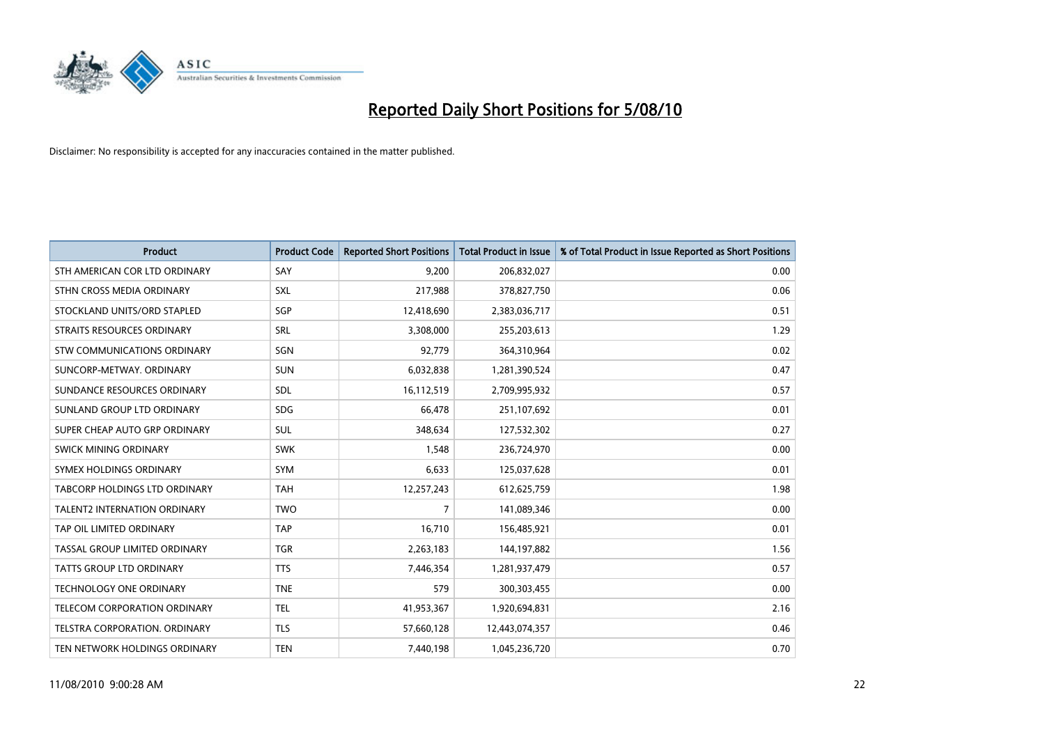

| <b>Product</b>                     | <b>Product Code</b> | <b>Reported Short Positions</b> | Total Product in Issue | % of Total Product in Issue Reported as Short Positions |
|------------------------------------|---------------------|---------------------------------|------------------------|---------------------------------------------------------|
| STH AMERICAN COR LTD ORDINARY      | SAY                 | 9.200                           | 206,832,027            | 0.00                                                    |
| STHN CROSS MEDIA ORDINARY          | <b>SXL</b>          | 217,988                         | 378,827,750            | 0.06                                                    |
| STOCKLAND UNITS/ORD STAPLED        | SGP                 | 12,418,690                      | 2,383,036,717          | 0.51                                                    |
| STRAITS RESOURCES ORDINARY         | <b>SRL</b>          | 3,308,000                       | 255,203,613            | 1.29                                                    |
| <b>STW COMMUNICATIONS ORDINARY</b> | SGN                 | 92,779                          | 364,310,964            | 0.02                                                    |
| SUNCORP-METWAY, ORDINARY           | <b>SUN</b>          | 6,032,838                       | 1,281,390,524          | 0.47                                                    |
| SUNDANCE RESOURCES ORDINARY        | <b>SDL</b>          | 16,112,519                      | 2,709,995,932          | 0.57                                                    |
| SUNLAND GROUP LTD ORDINARY         | <b>SDG</b>          | 66,478                          | 251,107,692            | 0.01                                                    |
| SUPER CHEAP AUTO GRP ORDINARY      | <b>SUL</b>          | 348,634                         | 127,532,302            | 0.27                                                    |
| <b>SWICK MINING ORDINARY</b>       | <b>SWK</b>          | 1,548                           | 236,724,970            | 0.00                                                    |
| SYMEX HOLDINGS ORDINARY            | <b>SYM</b>          | 6,633                           | 125,037,628            | 0.01                                                    |
| TABCORP HOLDINGS LTD ORDINARY      | <b>TAH</b>          | 12,257,243                      | 612,625,759            | 1.98                                                    |
| TALENT2 INTERNATION ORDINARY       | <b>TWO</b>          | $\overline{7}$                  | 141,089,346            | 0.00                                                    |
| TAP OIL LIMITED ORDINARY           | <b>TAP</b>          | 16,710                          | 156,485,921            | 0.01                                                    |
| TASSAL GROUP LIMITED ORDINARY      | <b>TGR</b>          | 2,263,183                       | 144,197,882            | 1.56                                                    |
| TATTS GROUP LTD ORDINARY           | <b>TTS</b>          | 7,446,354                       | 1,281,937,479          | 0.57                                                    |
| TECHNOLOGY ONE ORDINARY            | <b>TNE</b>          | 579                             | 300,303,455            | 0.00                                                    |
| TELECOM CORPORATION ORDINARY       | <b>TEL</b>          | 41,953,367                      | 1,920,694,831          | 2.16                                                    |
| TELSTRA CORPORATION, ORDINARY      | <b>TLS</b>          | 57,660,128                      | 12,443,074,357         | 0.46                                                    |
| TEN NETWORK HOLDINGS ORDINARY      | <b>TEN</b>          | 7,440,198                       | 1,045,236,720          | 0.70                                                    |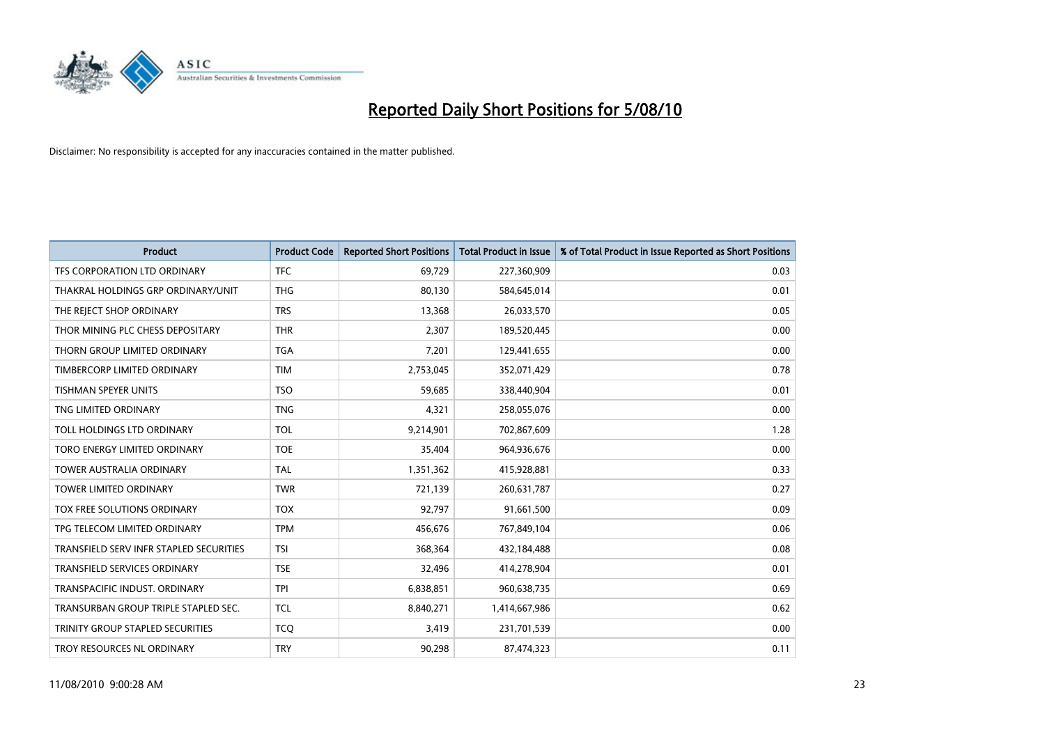

| <b>Product</b>                          | <b>Product Code</b> | <b>Reported Short Positions</b> | <b>Total Product in Issue</b> | % of Total Product in Issue Reported as Short Positions |
|-----------------------------------------|---------------------|---------------------------------|-------------------------------|---------------------------------------------------------|
| TFS CORPORATION LTD ORDINARY            | <b>TFC</b>          | 69,729                          | 227,360,909                   | 0.03                                                    |
| THAKRAL HOLDINGS GRP ORDINARY/UNIT      | <b>THG</b>          | 80,130                          | 584,645,014                   | 0.01                                                    |
| THE REJECT SHOP ORDINARY                | <b>TRS</b>          | 13,368                          | 26,033,570                    | 0.05                                                    |
| THOR MINING PLC CHESS DEPOSITARY        | <b>THR</b>          | 2,307                           | 189,520,445                   | 0.00                                                    |
| THORN GROUP LIMITED ORDINARY            | <b>TGA</b>          | 7,201                           | 129,441,655                   | 0.00                                                    |
| TIMBERCORP LIMITED ORDINARY             | <b>TIM</b>          | 2,753,045                       | 352,071,429                   | 0.78                                                    |
| <b>TISHMAN SPEYER UNITS</b>             | <b>TSO</b>          | 59,685                          | 338,440,904                   | 0.01                                                    |
| TNG LIMITED ORDINARY                    | <b>TNG</b>          | 4,321                           | 258,055,076                   | 0.00                                                    |
| TOLL HOLDINGS LTD ORDINARY              | <b>TOL</b>          | 9,214,901                       | 702,867,609                   | 1.28                                                    |
| TORO ENERGY LIMITED ORDINARY            | <b>TOE</b>          | 35,404                          | 964,936,676                   | 0.00                                                    |
| <b>TOWER AUSTRALIA ORDINARY</b>         | <b>TAL</b>          | 1,351,362                       | 415,928,881                   | 0.33                                                    |
| <b>TOWER LIMITED ORDINARY</b>           | <b>TWR</b>          | 721,139                         | 260,631,787                   | 0.27                                                    |
| TOX FREE SOLUTIONS ORDINARY             | <b>TOX</b>          | 92,797                          | 91,661,500                    | 0.09                                                    |
| TPG TELECOM LIMITED ORDINARY            | <b>TPM</b>          | 456,676                         | 767,849,104                   | 0.06                                                    |
| TRANSFIELD SERV INFR STAPLED SECURITIES | <b>TSI</b>          | 368,364                         | 432,184,488                   | 0.08                                                    |
| <b>TRANSFIELD SERVICES ORDINARY</b>     | <b>TSE</b>          | 32,496                          | 414,278,904                   | 0.01                                                    |
| TRANSPACIFIC INDUST. ORDINARY           | <b>TPI</b>          | 6,838,851                       | 960,638,735                   | 0.69                                                    |
| TRANSURBAN GROUP TRIPLE STAPLED SEC.    | <b>TCL</b>          | 8,840,271                       | 1,414,667,986                 | 0.62                                                    |
| TRINITY GROUP STAPLED SECURITIES        | <b>TCO</b>          | 3,419                           | 231,701,539                   | 0.00                                                    |
| TROY RESOURCES NL ORDINARY              | <b>TRY</b>          | 90,298                          | 87,474,323                    | 0.11                                                    |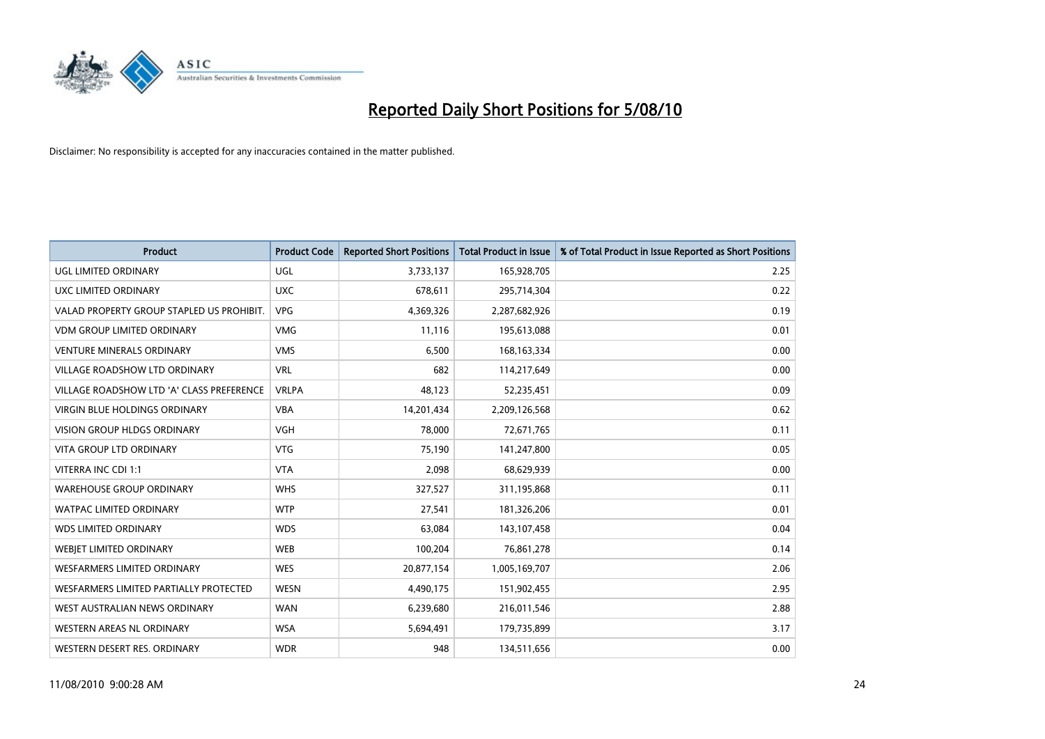

| <b>Product</b>                            | <b>Product Code</b> | <b>Reported Short Positions</b> | <b>Total Product in Issue</b> | % of Total Product in Issue Reported as Short Positions |
|-------------------------------------------|---------------------|---------------------------------|-------------------------------|---------------------------------------------------------|
| <b>UGL LIMITED ORDINARY</b>               | UGL                 | 3,733,137                       | 165,928,705                   | 2.25                                                    |
| UXC LIMITED ORDINARY                      | <b>UXC</b>          | 678,611                         | 295,714,304                   | 0.22                                                    |
| VALAD PROPERTY GROUP STAPLED US PROHIBIT. | <b>VPG</b>          | 4,369,326                       | 2,287,682,926                 | 0.19                                                    |
| VDM GROUP LIMITED ORDINARY                | <b>VMG</b>          | 11,116                          | 195,613,088                   | 0.01                                                    |
| <b>VENTURE MINERALS ORDINARY</b>          | <b>VMS</b>          | 6,500                           | 168, 163, 334                 | 0.00                                                    |
| <b>VILLAGE ROADSHOW LTD ORDINARY</b>      | <b>VRL</b>          | 682                             | 114,217,649                   | 0.00                                                    |
| VILLAGE ROADSHOW LTD 'A' CLASS PREFERENCE | <b>VRLPA</b>        | 48,123                          | 52,235,451                    | 0.09                                                    |
| VIRGIN BLUE HOLDINGS ORDINARY             | <b>VBA</b>          | 14,201,434                      | 2,209,126,568                 | 0.62                                                    |
| <b>VISION GROUP HLDGS ORDINARY</b>        | <b>VGH</b>          | 78,000                          | 72,671,765                    | 0.11                                                    |
| <b>VITA GROUP LTD ORDINARY</b>            | <b>VTG</b>          | 75,190                          | 141,247,800                   | 0.05                                                    |
| VITERRA INC CDI 1:1                       | <b>VTA</b>          | 2,098                           | 68,629,939                    | 0.00                                                    |
| <b>WAREHOUSE GROUP ORDINARY</b>           | <b>WHS</b>          | 327,527                         | 311,195,868                   | 0.11                                                    |
| WATPAC LIMITED ORDINARY                   | <b>WTP</b>          | 27,541                          | 181,326,206                   | 0.01                                                    |
| <b>WDS LIMITED ORDINARY</b>               | <b>WDS</b>          | 63,084                          | 143,107,458                   | 0.04                                                    |
| WEBIET LIMITED ORDINARY                   | <b>WEB</b>          | 100,204                         | 76,861,278                    | 0.14                                                    |
| <b>WESFARMERS LIMITED ORDINARY</b>        | <b>WES</b>          | 20,877,154                      | 1,005,169,707                 | 2.06                                                    |
| WESFARMERS LIMITED PARTIALLY PROTECTED    | <b>WESN</b>         | 4,490,175                       | 151,902,455                   | 2.95                                                    |
| WEST AUSTRALIAN NEWS ORDINARY             | <b>WAN</b>          | 6,239,680                       | 216,011,546                   | 2.88                                                    |
| <b>WESTERN AREAS NL ORDINARY</b>          | <b>WSA</b>          | 5,694,491                       | 179,735,899                   | 3.17                                                    |
| WESTERN DESERT RES. ORDINARY              | <b>WDR</b>          | 948                             | 134,511,656                   | 0.00                                                    |